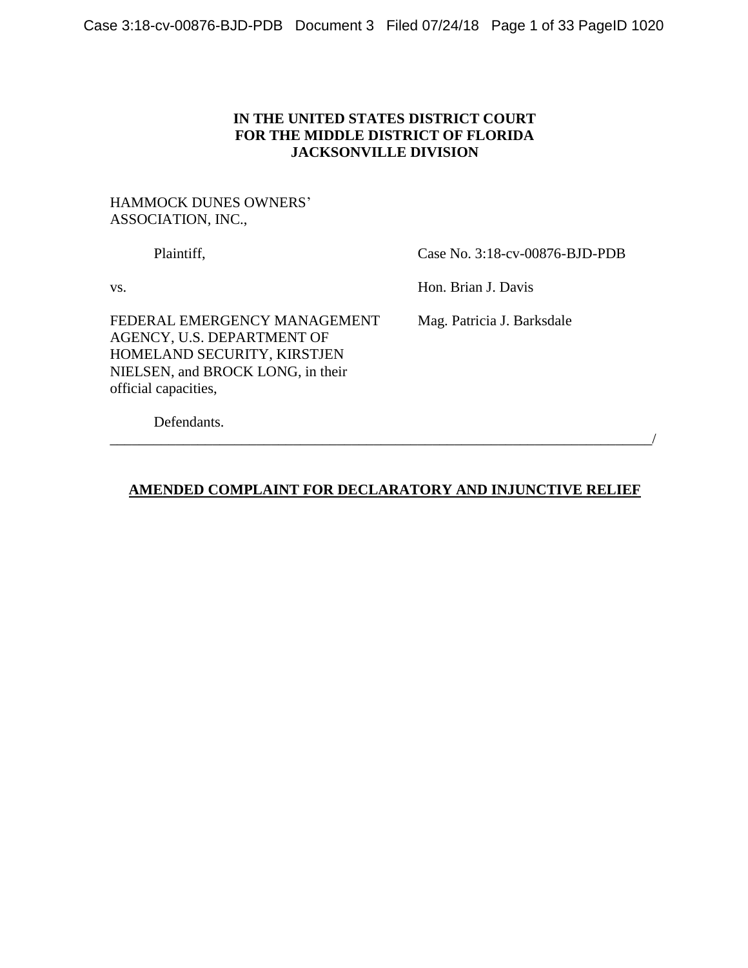## **IN THE UNITED STATES DISTRICT COURT FOR THE MIDDLE DISTRICT OF FLORIDA JACKSONVILLE DIVISION**

## HAMMOCK DUNES OWNERS' ASSOCIATION, INC.,

Plaintiff, Case No. 3:18-cv-00876-BJD-PDB

vs. Hon. Brian J. Davis

FEDERAL EMERGENCY MANAGEMENT Mag. Patricia J. Barksdale AGENCY, U.S. DEPARTMENT OF HOMELAND SECURITY, KIRSTJEN NIELSEN, and BROCK LONG, in their official capacities,

Defendants.

# **AMENDED COMPLAINT FOR DECLARATORY AND INJUNCTIVE RELIEF**

\_\_\_\_\_\_\_\_\_\_\_\_\_\_\_\_\_\_\_\_\_\_\_\_\_\_\_\_\_\_\_\_\_\_\_\_\_\_\_\_\_\_\_\_\_\_\_\_\_\_\_\_\_\_\_\_\_\_\_\_\_\_\_\_\_\_\_\_\_\_\_\_\_\_/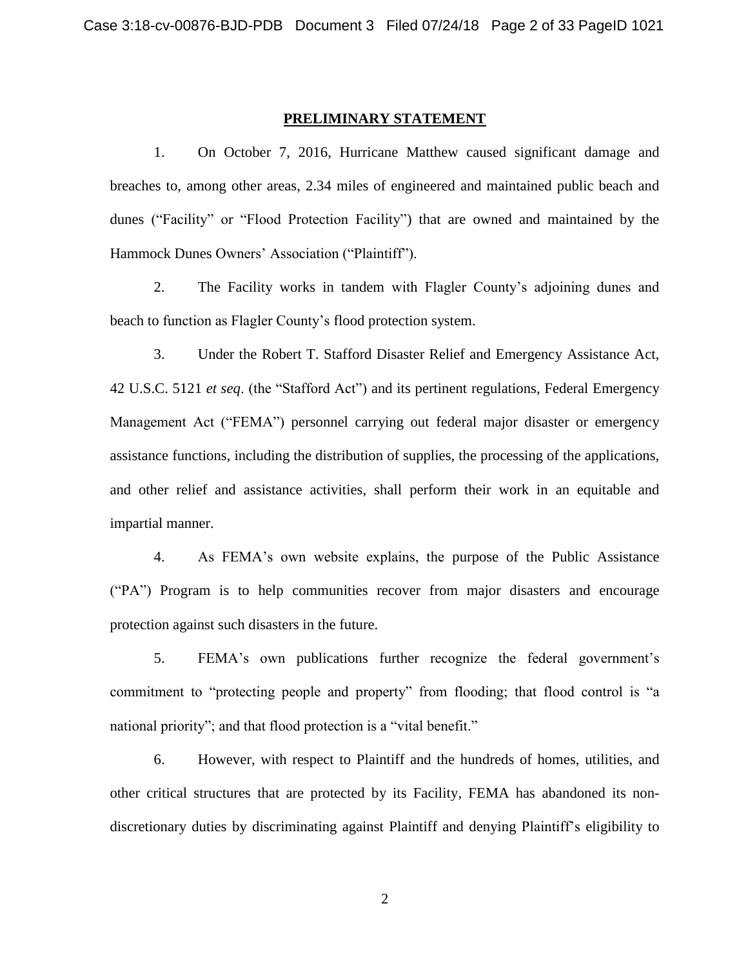#### **PRELIMINARY STATEMENT**

1. On October 7, 2016, Hurricane Matthew caused significant damage and breaches to, among other areas, 2.34 miles of engineered and maintained public beach and dunes ("Facility" or "Flood Protection Facility") that are owned and maintained by the Hammock Dunes Owners' Association ("Plaintiff").

2. The Facility works in tandem with Flagler County's adjoining dunes and beach to function as Flagler County's flood protection system.

3. Under the Robert T. Stafford Disaster Relief and Emergency Assistance Act, 42 U.S.C. 5121 *et seq*. (the "Stafford Act") and its pertinent regulations, Federal Emergency Management Act ("FEMA") personnel carrying out federal major disaster or emergency assistance functions, including the distribution of supplies, the processing of the applications, and other relief and assistance activities, shall perform their work in an equitable and impartial manner.

4. As FEMA's own website explains, the purpose of the Public Assistance ("PA") Program is to help communities recover from major disasters and encourage protection against such disasters in the future.

5. FEMA's own publications further recognize the federal government's commitment to "protecting people and property" from flooding; that flood control is "a national priority"; and that flood protection is a "vital benefit."

6. However, with respect to Plaintiff and the hundreds of homes, utilities, and other critical structures that are protected by its Facility, FEMA has abandoned its nondiscretionary duties by discriminating against Plaintiff and denying Plaintiff's eligibility to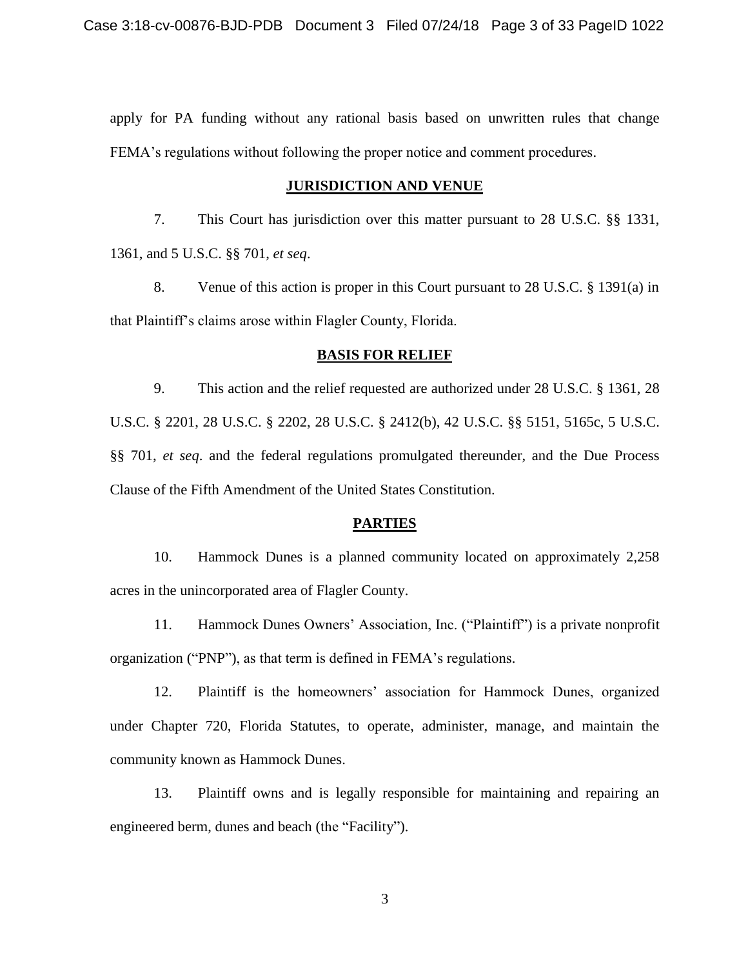apply for PA funding without any rational basis based on unwritten rules that change FEMA's regulations without following the proper notice and comment procedures.

### **JURISDICTION AND VENUE**

7. This Court has jurisdiction over this matter pursuant to 28 U.S.C. §§ 1331, 1361, and 5 U.S.C. §§ 701, *et seq*.

8. Venue of this action is proper in this Court pursuant to 28 U.S.C. § 1391(a) in that Plaintiff's claims arose within Flagler County, Florida.

#### **BASIS FOR RELIEF**

9. This action and the relief requested are authorized under 28 U.S.C. § 1361, 28 U.S.C. § 2201, 28 U.S.C. § 2202, 28 U.S.C. § 2412(b), 42 U.S.C. §§ 5151, 5165c, 5 U.S.C. §§ 701, *et seq*. and the federal regulations promulgated thereunder, and the Due Process Clause of the Fifth Amendment of the United States Constitution.

### **PARTIES**

10. Hammock Dunes is a planned community located on approximately 2,258 acres in the unincorporated area of Flagler County.

11. Hammock Dunes Owners' Association, Inc. ("Plaintiff") is a private nonprofit organization ("PNP"), as that term is defined in FEMA's regulations.

12. Plaintiff is the homeowners' association for Hammock Dunes, organized under Chapter 720, Florida Statutes, to operate, administer, manage, and maintain the community known as Hammock Dunes.

13. Plaintiff owns and is legally responsible for maintaining and repairing an engineered berm, dunes and beach (the "Facility").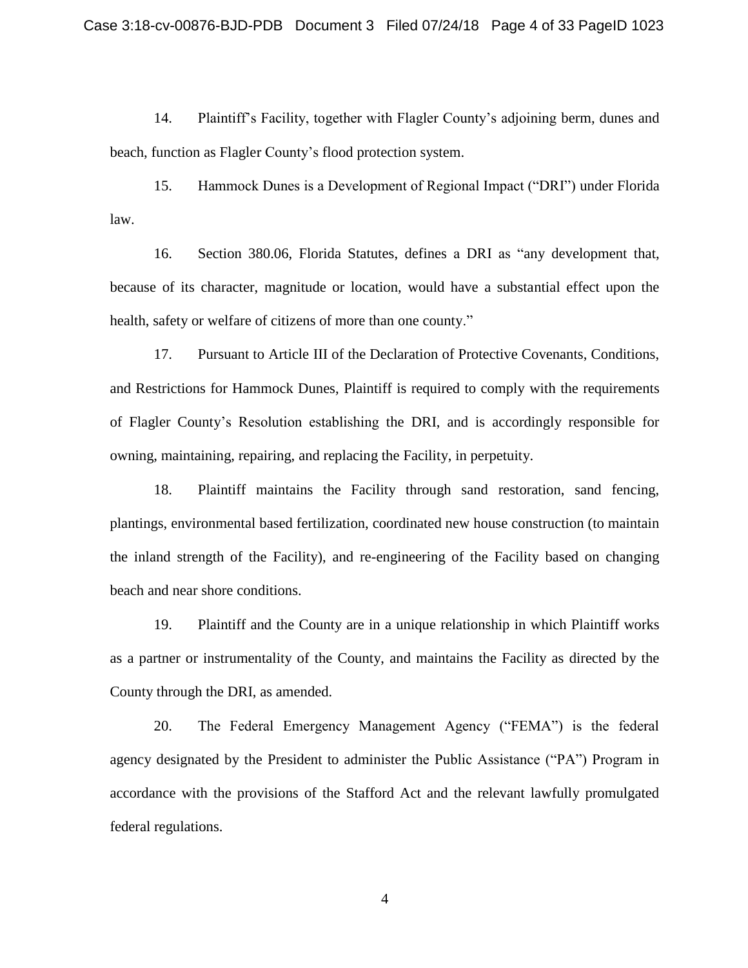14. Plaintiff's Facility, together with Flagler County's adjoining berm, dunes and beach, function as Flagler County's flood protection system.

15. Hammock Dunes is a Development of Regional Impact ("DRI") under Florida law.

16. Section 380.06, Florida Statutes, defines a DRI as "any development that, because of its character, magnitude or location, would have a substantial effect upon the health, safety or welfare of citizens of more than one county."

17. Pursuant to Article III of the Declaration of Protective Covenants, Conditions, and Restrictions for Hammock Dunes, Plaintiff is required to comply with the requirements of Flagler County's Resolution establishing the DRI, and is accordingly responsible for owning, maintaining, repairing, and replacing the Facility, in perpetuity.

18. Plaintiff maintains the Facility through sand restoration, sand fencing, plantings, environmental based fertilization, coordinated new house construction (to maintain the inland strength of the Facility), and re-engineering of the Facility based on changing beach and near shore conditions.

19. Plaintiff and the County are in a unique relationship in which Plaintiff works as a partner or instrumentality of the County, and maintains the Facility as directed by the County through the DRI, as amended.

20. The Federal Emergency Management Agency ("FEMA") is the federal agency designated by the President to administer the Public Assistance ("PA") Program in accordance with the provisions of the Stafford Act and the relevant lawfully promulgated federal regulations.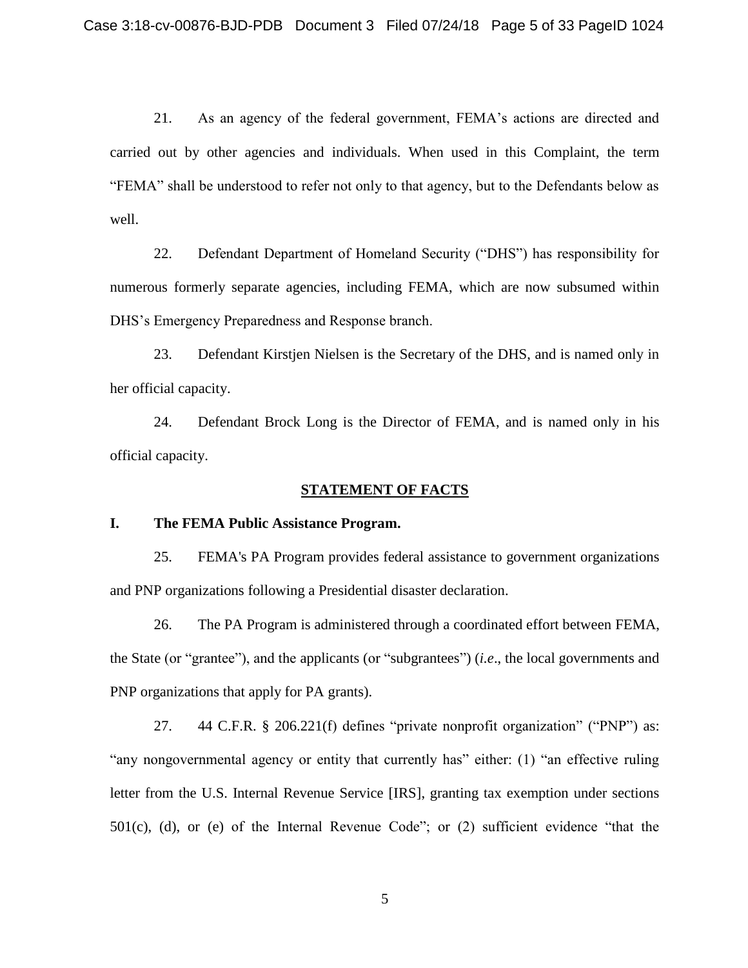21. As an agency of the federal government, FEMA's actions are directed and carried out by other agencies and individuals. When used in this Complaint, the term "FEMA" shall be understood to refer not only to that agency, but to the Defendants below as well.

22. Defendant Department of Homeland Security ("DHS") has responsibility for numerous formerly separate agencies, including FEMA, which are now subsumed within DHS's Emergency Preparedness and Response branch.

23. Defendant Kirstjen Nielsen is the Secretary of the DHS, and is named only in her official capacity.

24. Defendant Brock Long is the Director of FEMA, and is named only in his official capacity.

### **STATEMENT OF FACTS**

### **I. The FEMA Public Assistance Program.**

25. FEMA's PA Program provides federal assistance to government organizations and PNP organizations following a Presidential disaster declaration.

26. The PA Program is administered through a coordinated effort between FEMA, the State (or "grantee"), and the applicants (or "subgrantees") (*i.e*., the local governments and PNP organizations that apply for PA grants).

27. 44 C.F.R. § 206.221(f) defines "private nonprofit organization" ("PNP") as: "any nongovernmental agency or entity that currently has" either: (1) "an effective ruling letter from the U.S. Internal Revenue Service [IRS], granting tax exemption under sections 501(c), (d), or (e) of the Internal Revenue Code"; or (2) sufficient evidence "that the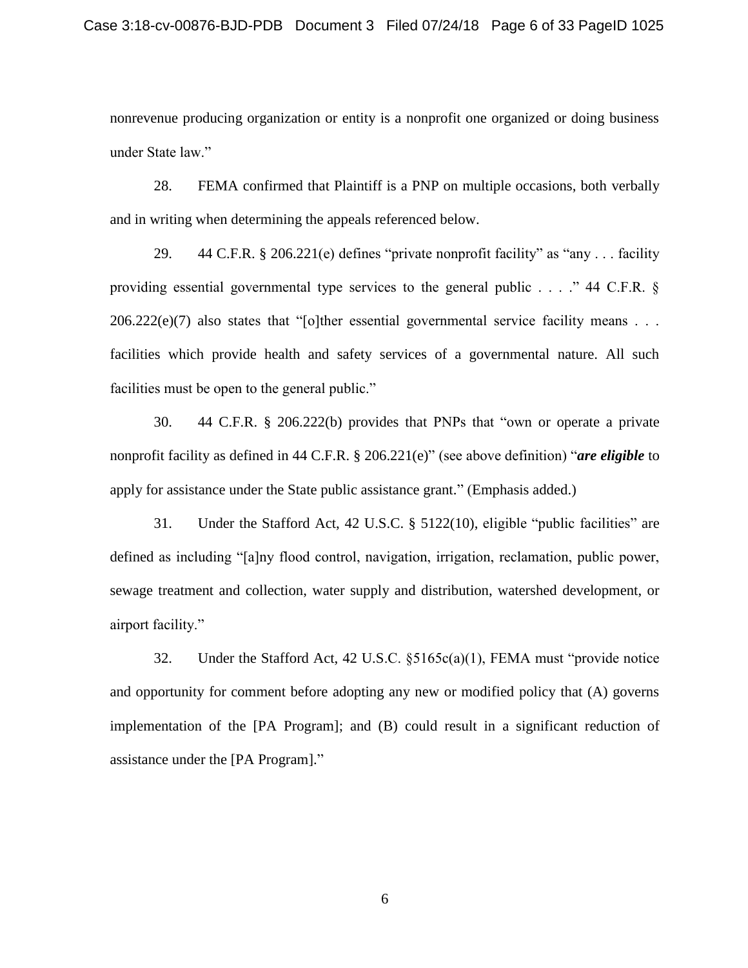nonrevenue producing organization or entity is a nonprofit one organized or doing business under State law."

28. FEMA confirmed that Plaintiff is a PNP on multiple occasions, both verbally and in writing when determining the appeals referenced below.

29.  $44 \text{ C.F.R. }$  \$ 206.221(e) defines "private nonprofit facility" as "any ... facility" providing essential governmental type services to the general public . . . ." 44 C.F.R. §  $206.222(e)(7)$  also states that "[o]ther essential governmental service facility means . . . facilities which provide health and safety services of a governmental nature. All such facilities must be open to the general public."

30. 44 C.F.R. § 206.222(b) provides that PNPs that "own or operate a private nonprofit facility as defined in 44 C.F.R. § 206.221(e)" (see above definition) "*are eligible* to apply for assistance under the State public assistance grant." (Emphasis added.)

31. Under the Stafford Act, 42 U.S.C. § 5122(10), eligible "public facilities" are defined as including "[a]ny flood control, navigation, irrigation, reclamation, public power, sewage treatment and collection, water supply and distribution, watershed development, or airport facility."

32. Under the Stafford Act, 42 U.S.C. §5165c(a)(1), FEMA must "provide notice and opportunity for comment before adopting any new or modified policy that (A) governs implementation of the [PA Program]; and (B) could result in a significant reduction of assistance under the [PA Program]."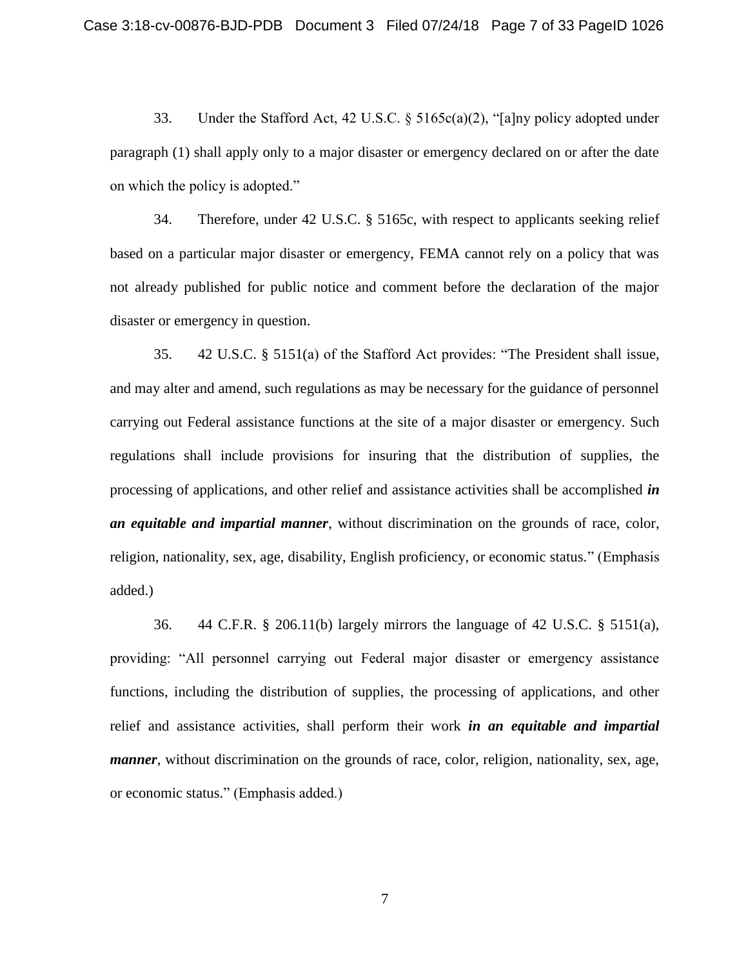33. Under the Stafford Act, 42 U.S.C. § 5165c(a)(2), "[a]ny policy adopted under paragraph (1) shall apply only to a major disaster or emergency declared on or after the date on which the policy is adopted."

34. Therefore, under 42 U.S.C. § 5165c, with respect to applicants seeking relief based on a particular major disaster or emergency, FEMA cannot rely on a policy that was not already published for public notice and comment before the declaration of the major disaster or emergency in question.

35. 42 U.S.C. § 5151(a) of the Stafford Act provides: "The President shall issue, and may alter and amend, such regulations as may be necessary for the guidance of personnel carrying out Federal assistance functions at the site of a major disaster or emergency. Such regulations shall include provisions for insuring that the distribution of supplies, the processing of applications, and other relief and assistance activities shall be accomplished *in an equitable and impartial manner*, without discrimination on the grounds of race, color, religion, nationality, sex, age, disability, English proficiency, or economic status." (Emphasis added.)

36. 44 C.F.R. § 206.11(b) largely mirrors the language of 42 U.S.C. § 5151(a), providing: "All personnel carrying out Federal major disaster or emergency assistance functions, including the distribution of supplies, the processing of applications, and other relief and assistance activities, shall perform their work *in an equitable and impartial manner*, without discrimination on the grounds of race, color, religion, nationality, sex, age, or economic status." (Emphasis added.)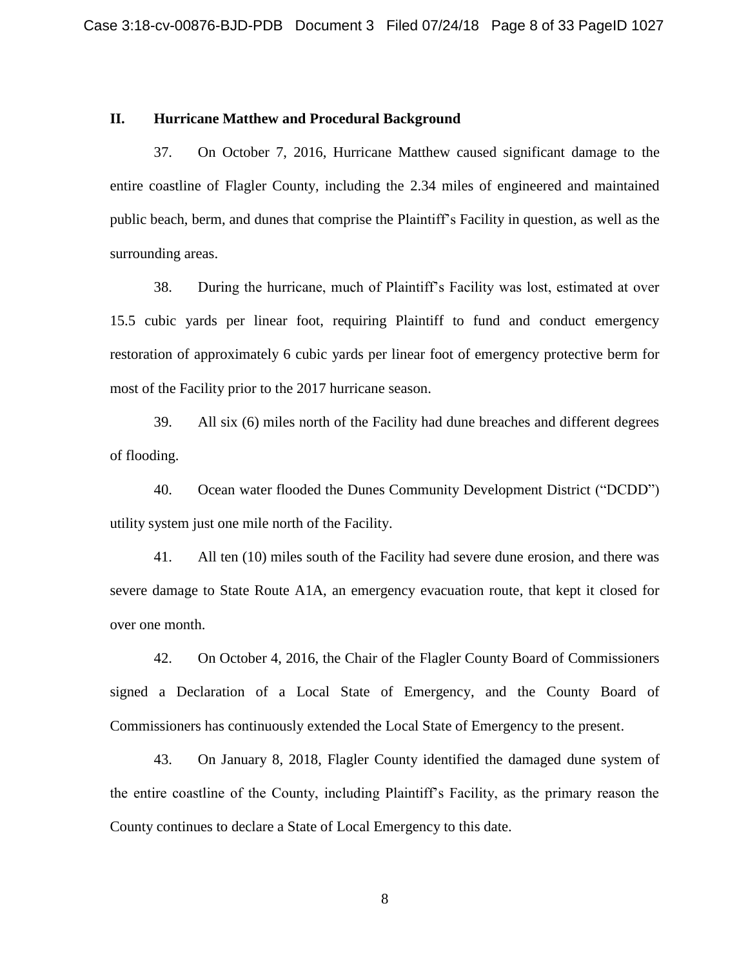#### **II. Hurricane Matthew and Procedural Background**

37. On October 7, 2016, Hurricane Matthew caused significant damage to the entire coastline of Flagler County, including the 2.34 miles of engineered and maintained public beach, berm, and dunes that comprise the Plaintiff's Facility in question, as well as the surrounding areas.

38. During the hurricane, much of Plaintiff's Facility was lost, estimated at over 15.5 cubic yards per linear foot, requiring Plaintiff to fund and conduct emergency restoration of approximately 6 cubic yards per linear foot of emergency protective berm for most of the Facility prior to the 2017 hurricane season.

39. All six (6) miles north of the Facility had dune breaches and different degrees of flooding.

40. Ocean water flooded the Dunes Community Development District ("DCDD") utility system just one mile north of the Facility.

41. All ten (10) miles south of the Facility had severe dune erosion, and there was severe damage to State Route A1A, an emergency evacuation route, that kept it closed for over one month.

42. On October 4, 2016, the Chair of the Flagler County Board of Commissioners signed a Declaration of a Local State of Emergency, and the County Board of Commissioners has continuously extended the Local State of Emergency to the present.

43. On January 8, 2018, Flagler County identified the damaged dune system of the entire coastline of the County, including Plaintiff's Facility, as the primary reason the County continues to declare a State of Local Emergency to this date.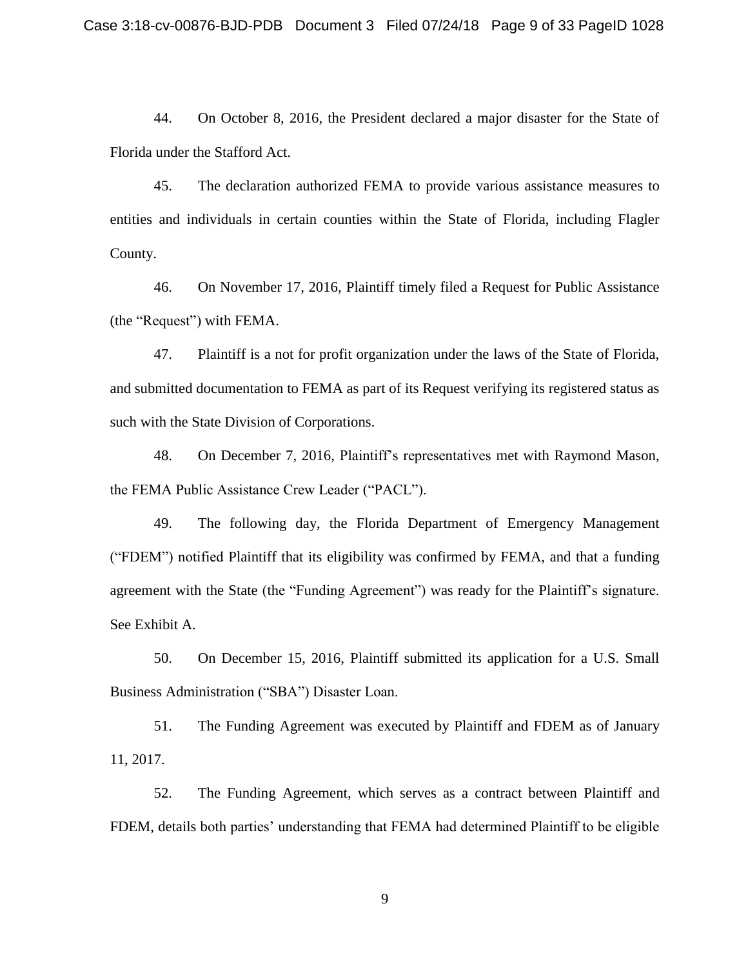44. On October 8, 2016, the President declared a major disaster for the State of Florida under the Stafford Act.

45. The declaration authorized FEMA to provide various assistance measures to entities and individuals in certain counties within the State of Florida, including Flagler County.

46. On November 17, 2016, Plaintiff timely filed a Request for Public Assistance (the "Request") with FEMA.

47. Plaintiff is a not for profit organization under the laws of the State of Florida, and submitted documentation to FEMA as part of its Request verifying its registered status as such with the State Division of Corporations.

48. On December 7, 2016, Plaintiff's representatives met with Raymond Mason, the FEMA Public Assistance Crew Leader ("PACL").

49. The following day, the Florida Department of Emergency Management ("FDEM") notified Plaintiff that its eligibility was confirmed by FEMA, and that a funding agreement with the State (the "Funding Agreement") was ready for the Plaintiff's signature. See Exhibit A.

50. On December 15, 2016, Plaintiff submitted its application for a U.S. Small Business Administration ("SBA") Disaster Loan.

51. The Funding Agreement was executed by Plaintiff and FDEM as of January 11, 2017.

52. The Funding Agreement, which serves as a contract between Plaintiff and FDEM, details both parties' understanding that FEMA had determined Plaintiff to be eligible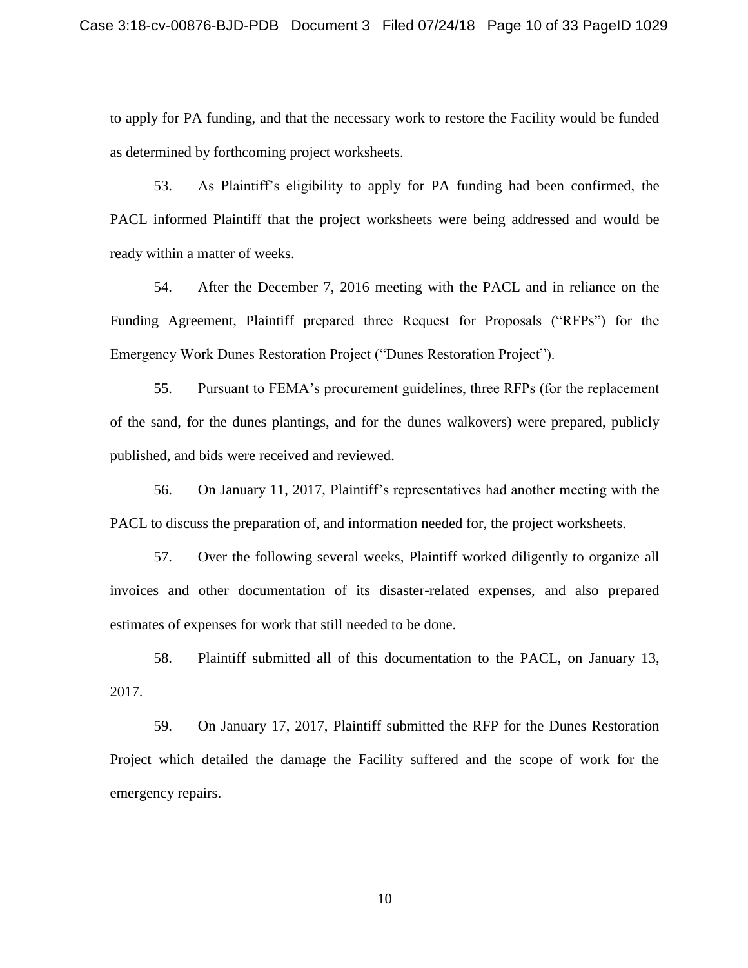to apply for PA funding, and that the necessary work to restore the Facility would be funded as determined by forthcoming project worksheets.

53. As Plaintiff's eligibility to apply for PA funding had been confirmed, the PACL informed Plaintiff that the project worksheets were being addressed and would be ready within a matter of weeks.

54. After the December 7, 2016 meeting with the PACL and in reliance on the Funding Agreement, Plaintiff prepared three Request for Proposals ("RFPs") for the Emergency Work Dunes Restoration Project ("Dunes Restoration Project").

55. Pursuant to FEMA's procurement guidelines, three RFPs (for the replacement of the sand, for the dunes plantings, and for the dunes walkovers) were prepared, publicly published, and bids were received and reviewed.

56. On January 11, 2017, Plaintiff's representatives had another meeting with the PACL to discuss the preparation of, and information needed for, the project worksheets.

57. Over the following several weeks, Plaintiff worked diligently to organize all invoices and other documentation of its disaster-related expenses, and also prepared estimates of expenses for work that still needed to be done.

58. Plaintiff submitted all of this documentation to the PACL, on January 13, 2017.

59. On January 17, 2017, Plaintiff submitted the RFP for the Dunes Restoration Project which detailed the damage the Facility suffered and the scope of work for the emergency repairs.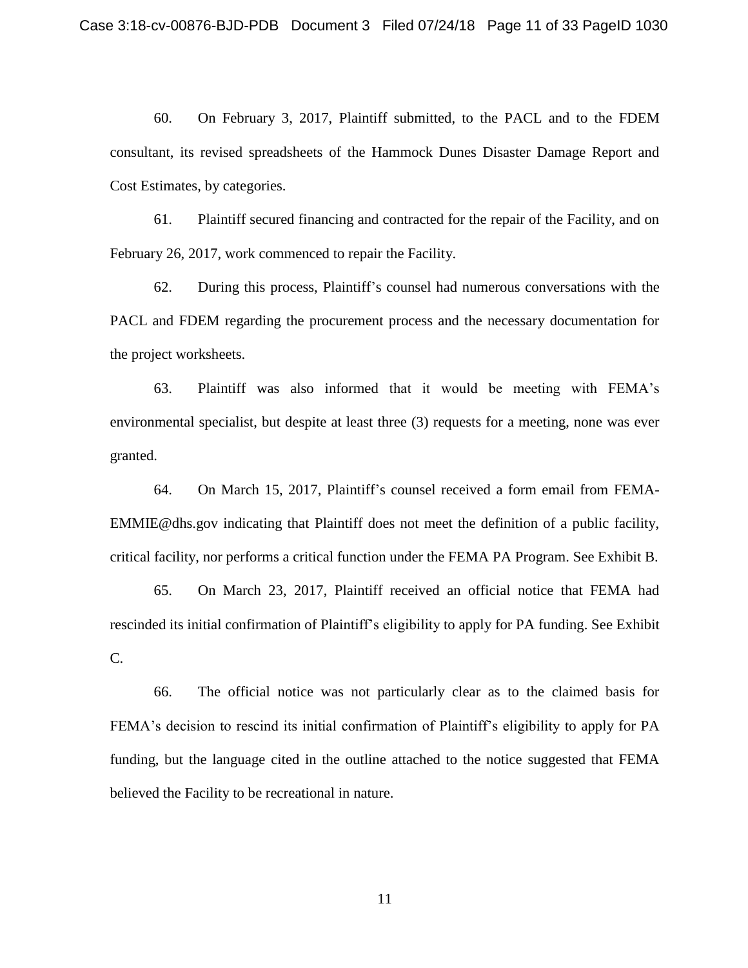60. On February 3, 2017, Plaintiff submitted, to the PACL and to the FDEM consultant, its revised spreadsheets of the Hammock Dunes Disaster Damage Report and Cost Estimates, by categories.

61. Plaintiff secured financing and contracted for the repair of the Facility, and on February 26, 2017, work commenced to repair the Facility.

62. During this process, Plaintiff's counsel had numerous conversations with the PACL and FDEM regarding the procurement process and the necessary documentation for the project worksheets.

63. Plaintiff was also informed that it would be meeting with FEMA's environmental specialist, but despite at least three (3) requests for a meeting, none was ever granted.

64. On March 15, 2017, Plaintiff's counsel received a form email from FEMA-EMMIE@dhs.gov indicating that Plaintiff does not meet the definition of a public facility, critical facility, nor performs a critical function under the FEMA PA Program. See Exhibit B.

65. On March 23, 2017, Plaintiff received an official notice that FEMA had rescinded its initial confirmation of Plaintiff's eligibility to apply for PA funding. See Exhibit C.

66. The official notice was not particularly clear as to the claimed basis for FEMA's decision to rescind its initial confirmation of Plaintiff's eligibility to apply for PA funding, but the language cited in the outline attached to the notice suggested that FEMA believed the Facility to be recreational in nature.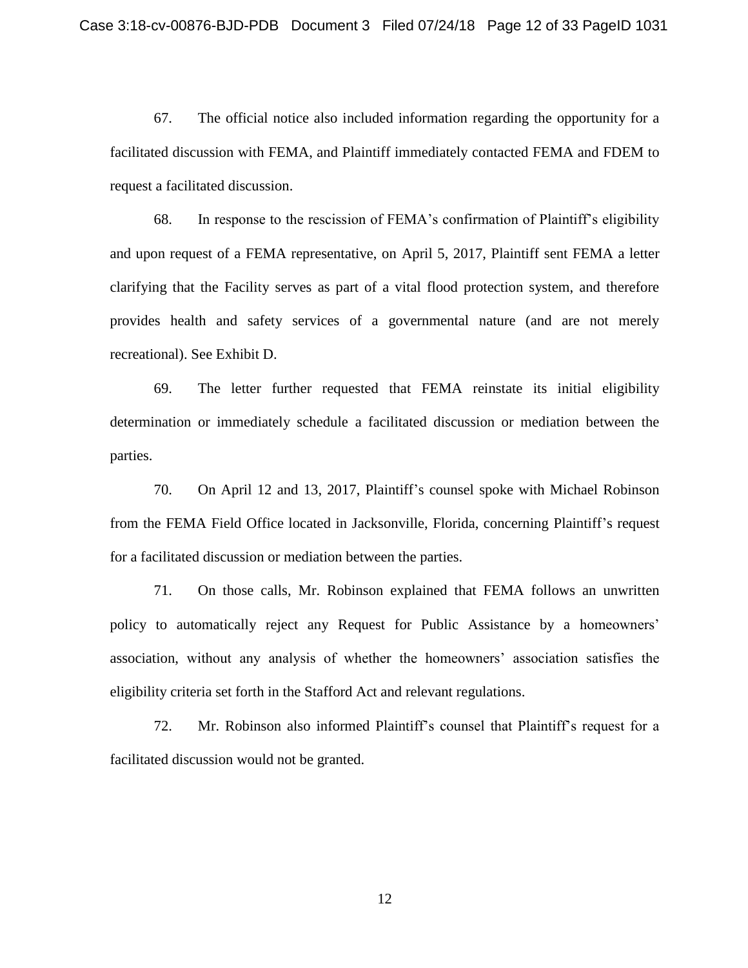67. The official notice also included information regarding the opportunity for a facilitated discussion with FEMA, and Plaintiff immediately contacted FEMA and FDEM to request a facilitated discussion.

68. In response to the rescission of FEMA's confirmation of Plaintiff's eligibility and upon request of a FEMA representative, on April 5, 2017, Plaintiff sent FEMA a letter clarifying that the Facility serves as part of a vital flood protection system, and therefore provides health and safety services of a governmental nature (and are not merely recreational). See Exhibit D.

69. The letter further requested that FEMA reinstate its initial eligibility determination or immediately schedule a facilitated discussion or mediation between the parties.

70. On April 12 and 13, 2017, Plaintiff's counsel spoke with Michael Robinson from the FEMA Field Office located in Jacksonville, Florida, concerning Plaintiff's request for a facilitated discussion or mediation between the parties.

71. On those calls, Mr. Robinson explained that FEMA follows an unwritten policy to automatically reject any Request for Public Assistance by a homeowners' association, without any analysis of whether the homeowners' association satisfies the eligibility criteria set forth in the Stafford Act and relevant regulations.

72. Mr. Robinson also informed Plaintiff's counsel that Plaintiff's request for a facilitated discussion would not be granted.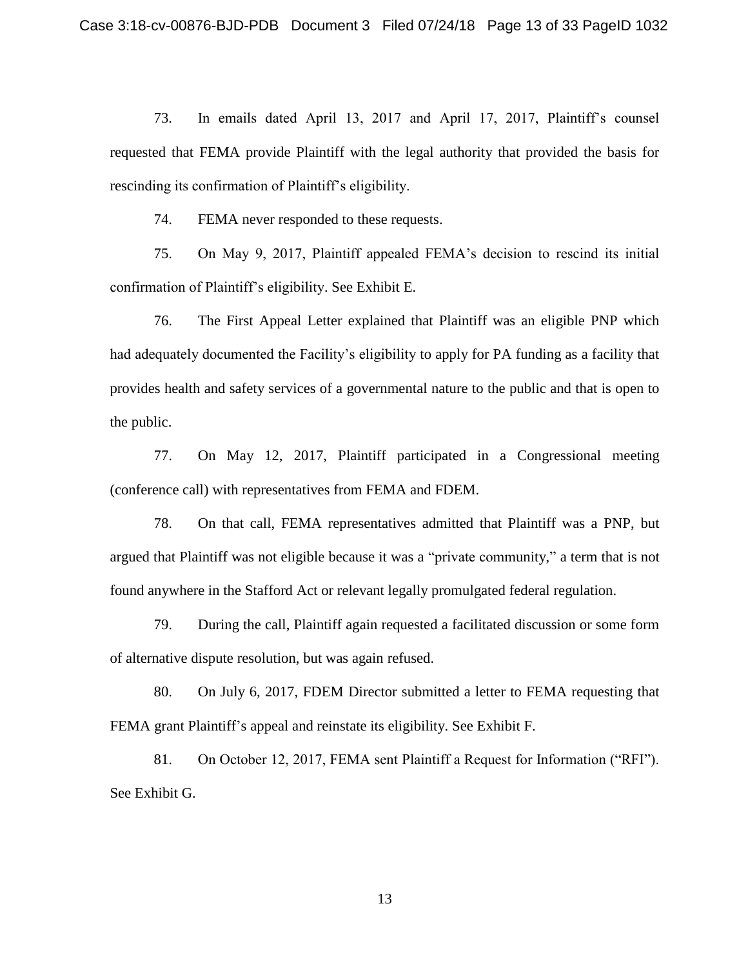73. In emails dated April 13, 2017 and April 17, 2017, Plaintiff's counsel requested that FEMA provide Plaintiff with the legal authority that provided the basis for rescinding its confirmation of Plaintiff's eligibility.

74. FEMA never responded to these requests.

75. On May 9, 2017, Plaintiff appealed FEMA's decision to rescind its initial confirmation of Plaintiff's eligibility. See Exhibit E.

76. The First Appeal Letter explained that Plaintiff was an eligible PNP which had adequately documented the Facility's eligibility to apply for PA funding as a facility that provides health and safety services of a governmental nature to the public and that is open to the public.

77. On May 12, 2017, Plaintiff participated in a Congressional meeting (conference call) with representatives from FEMA and FDEM.

78. On that call, FEMA representatives admitted that Plaintiff was a PNP, but argued that Plaintiff was not eligible because it was a "private community," a term that is not found anywhere in the Stafford Act or relevant legally promulgated federal regulation.

79. During the call, Plaintiff again requested a facilitated discussion or some form of alternative dispute resolution, but was again refused.

80. On July 6, 2017, FDEM Director submitted a letter to FEMA requesting that FEMA grant Plaintiff's appeal and reinstate its eligibility. See Exhibit F.

81. On October 12, 2017, FEMA sent Plaintiff a Request for Information ("RFI"). See Exhibit G.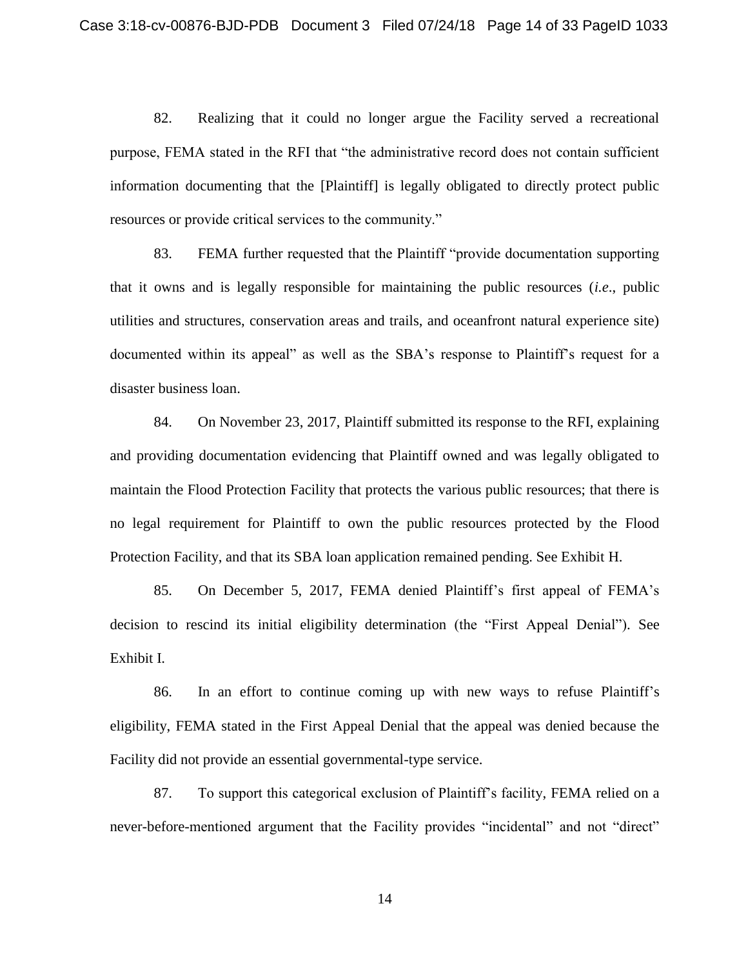82. Realizing that it could no longer argue the Facility served a recreational purpose, FEMA stated in the RFI that "the administrative record does not contain sufficient information documenting that the [Plaintiff] is legally obligated to directly protect public resources or provide critical services to the community."

83. FEMA further requested that the Plaintiff "provide documentation supporting that it owns and is legally responsible for maintaining the public resources (*i.e*., public utilities and structures, conservation areas and trails, and oceanfront natural experience site) documented within its appeal" as well as the SBA's response to Plaintiff's request for a disaster business loan.

84. On November 23, 2017, Plaintiff submitted its response to the RFI, explaining and providing documentation evidencing that Plaintiff owned and was legally obligated to maintain the Flood Protection Facility that protects the various public resources; that there is no legal requirement for Plaintiff to own the public resources protected by the Flood Protection Facility, and that its SBA loan application remained pending. See Exhibit H.

85. On December 5, 2017, FEMA denied Plaintiff's first appeal of FEMA's decision to rescind its initial eligibility determination (the "First Appeal Denial"). See Exhibit I.

86. In an effort to continue coming up with new ways to refuse Plaintiff's eligibility, FEMA stated in the First Appeal Denial that the appeal was denied because the Facility did not provide an essential governmental-type service.

87. To support this categorical exclusion of Plaintiff's facility, FEMA relied on a never-before-mentioned argument that the Facility provides "incidental" and not "direct"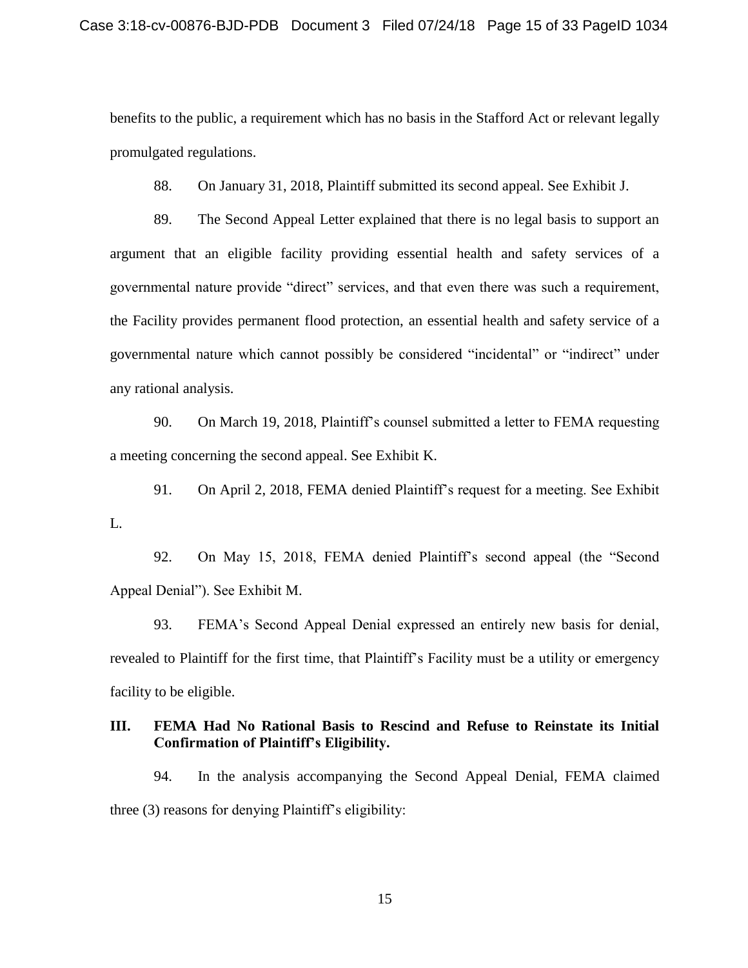benefits to the public, a requirement which has no basis in the Stafford Act or relevant legally promulgated regulations.

88. On January 31, 2018, Plaintiff submitted its second appeal. See Exhibit J.

89. The Second Appeal Letter explained that there is no legal basis to support an argument that an eligible facility providing essential health and safety services of a governmental nature provide "direct" services, and that even there was such a requirement, the Facility provides permanent flood protection, an essential health and safety service of a governmental nature which cannot possibly be considered "incidental" or "indirect" under any rational analysis.

90. On March 19, 2018, Plaintiff's counsel submitted a letter to FEMA requesting a meeting concerning the second appeal. See Exhibit K.

91. On April 2, 2018, FEMA denied Plaintiff's request for a meeting. See Exhibit L.

92. On May 15, 2018, FEMA denied Plaintiff's second appeal (the "Second Appeal Denial"). See Exhibit M.

93. FEMA's Second Appeal Denial expressed an entirely new basis for denial, revealed to Plaintiff for the first time, that Plaintiff's Facility must be a utility or emergency facility to be eligible.

## **III. FEMA Had No Rational Basis to Rescind and Refuse to Reinstate its Initial Confirmation of Plaintiff's Eligibility.**

94. In the analysis accompanying the Second Appeal Denial, FEMA claimed three (3) reasons for denying Plaintiff's eligibility: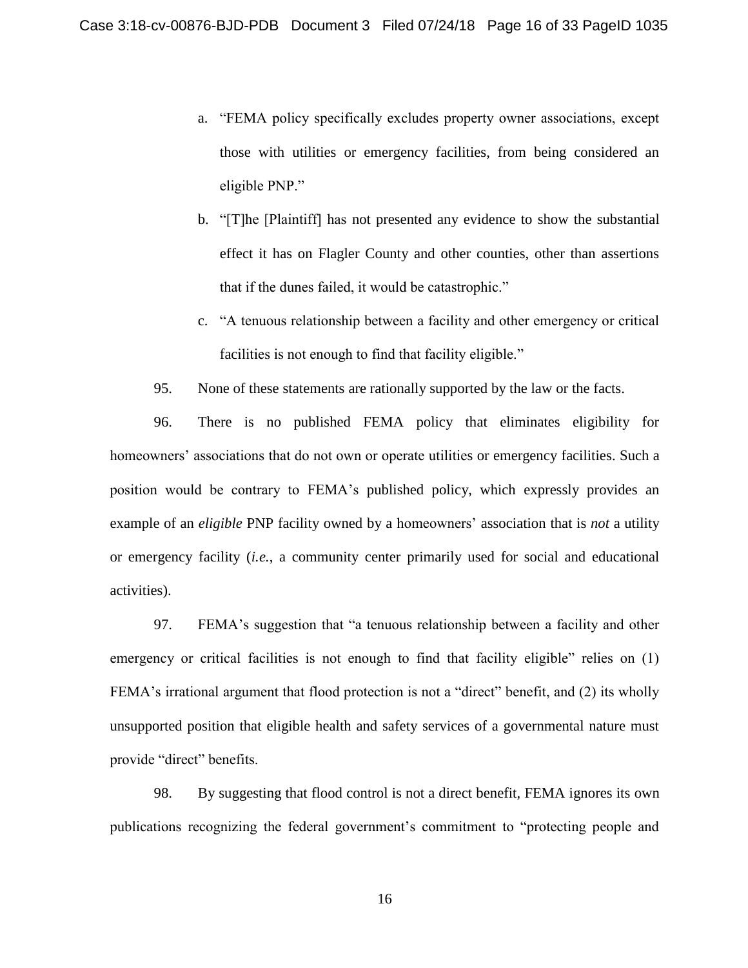- a. "FEMA policy specifically excludes property owner associations, except those with utilities or emergency facilities, from being considered an eligible PNP."
- b. "[T]he [Plaintiff] has not presented any evidence to show the substantial effect it has on Flagler County and other counties, other than assertions that if the dunes failed, it would be catastrophic."
- c. "A tenuous relationship between a facility and other emergency or critical facilities is not enough to find that facility eligible."
- 95. None of these statements are rationally supported by the law or the facts.

96. There is no published FEMA policy that eliminates eligibility for homeowners' associations that do not own or operate utilities or emergency facilities. Such a position would be contrary to FEMA's published policy, which expressly provides an example of an *eligible* PNP facility owned by a homeowners' association that is *not* a utility or emergency facility (*i.e.*, a community center primarily used for social and educational activities).

97. FEMA's suggestion that "a tenuous relationship between a facility and other emergency or critical facilities is not enough to find that facility eligible" relies on (1) FEMA's irrational argument that flood protection is not a "direct" benefit, and (2) its wholly unsupported position that eligible health and safety services of a governmental nature must provide "direct" benefits.

98. By suggesting that flood control is not a direct benefit, FEMA ignores its own publications recognizing the federal government's commitment to "protecting people and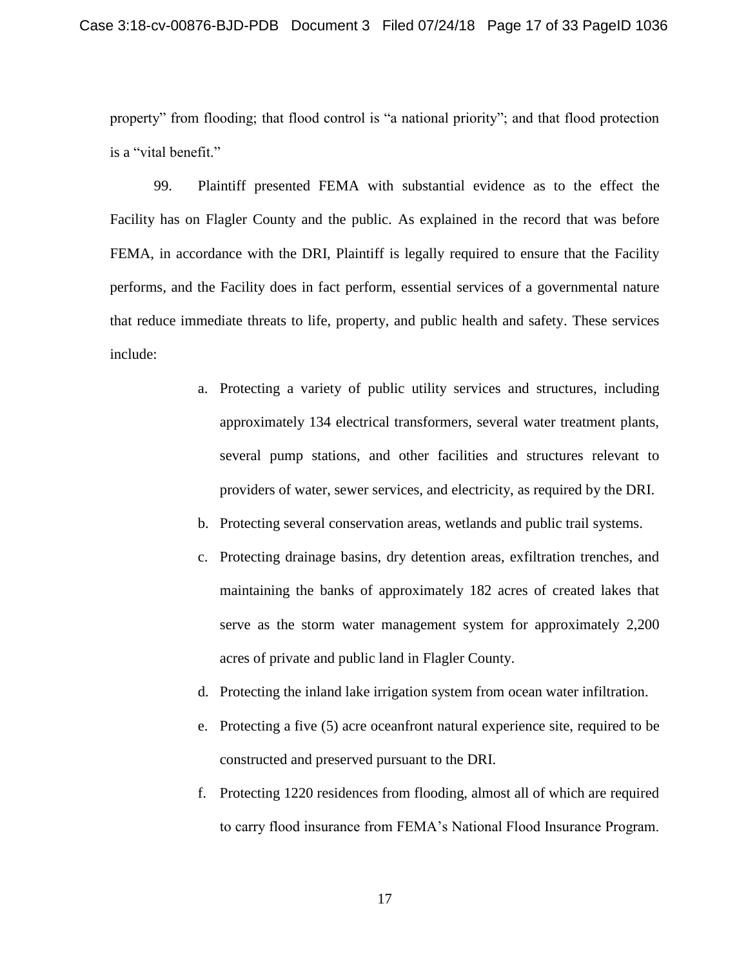property" from flooding; that flood control is "a national priority"; and that flood protection is a "vital benefit."

99. Plaintiff presented FEMA with substantial evidence as to the effect the Facility has on Flagler County and the public. As explained in the record that was before FEMA, in accordance with the DRI, Plaintiff is legally required to ensure that the Facility performs, and the Facility does in fact perform, essential services of a governmental nature that reduce immediate threats to life, property, and public health and safety. These services include:

- a. Protecting a variety of public utility services and structures, including approximately 134 electrical transformers, several water treatment plants, several pump stations, and other facilities and structures relevant to providers of water, sewer services, and electricity, as required by the DRI.
- b. Protecting several conservation areas, wetlands and public trail systems.
- c. Protecting drainage basins, dry detention areas, exfiltration trenches, and maintaining the banks of approximately 182 acres of created lakes that serve as the storm water management system for approximately 2,200 acres of private and public land in Flagler County.
- d. Protecting the inland lake irrigation system from ocean water infiltration.
- e. Protecting a five (5) acre oceanfront natural experience site, required to be constructed and preserved pursuant to the DRI.
- f. Protecting 1220 residences from flooding, almost all of which are required to carry flood insurance from FEMA's National Flood Insurance Program.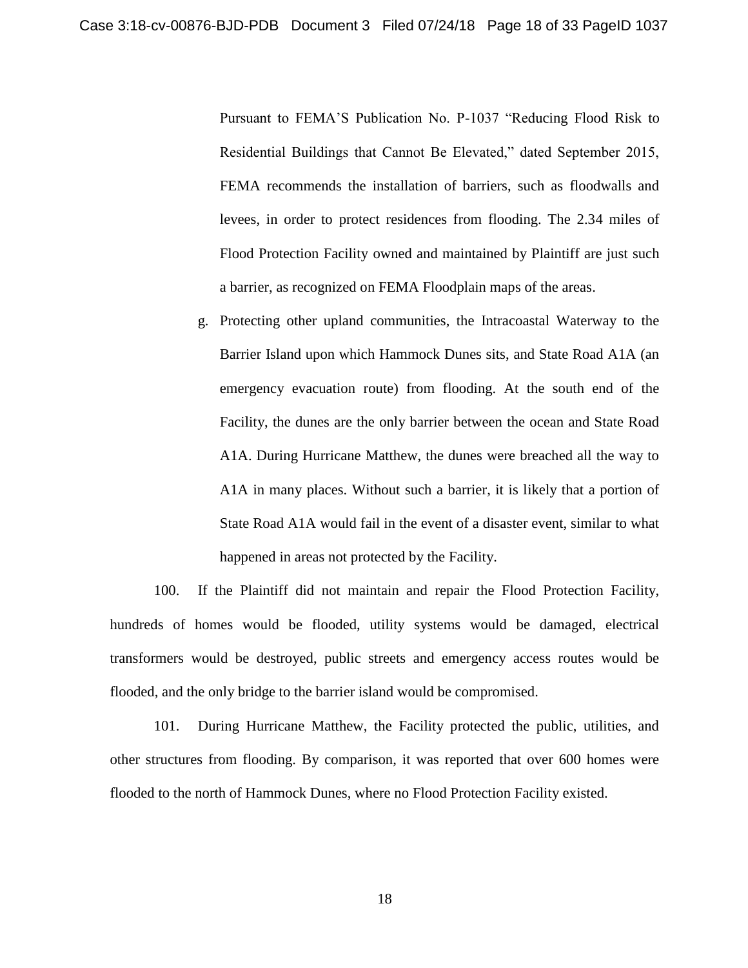Pursuant to FEMA'S Publication No. P-1037 "Reducing Flood Risk to Residential Buildings that Cannot Be Elevated," dated September 2015, FEMA recommends the installation of barriers, such as floodwalls and levees, in order to protect residences from flooding. The 2.34 miles of Flood Protection Facility owned and maintained by Plaintiff are just such a barrier, as recognized on FEMA Floodplain maps of the areas.

g. Protecting other upland communities, the Intracoastal Waterway to the Barrier Island upon which Hammock Dunes sits, and State Road A1A (an emergency evacuation route) from flooding. At the south end of the Facility, the dunes are the only barrier between the ocean and State Road A1A. During Hurricane Matthew, the dunes were breached all the way to A1A in many places. Without such a barrier, it is likely that a portion of State Road A1A would fail in the event of a disaster event, similar to what happened in areas not protected by the Facility.

100. If the Plaintiff did not maintain and repair the Flood Protection Facility, hundreds of homes would be flooded, utility systems would be damaged, electrical transformers would be destroyed, public streets and emergency access routes would be flooded, and the only bridge to the barrier island would be compromised.

101. During Hurricane Matthew, the Facility protected the public, utilities, and other structures from flooding. By comparison, it was reported that over 600 homes were flooded to the north of Hammock Dunes, where no Flood Protection Facility existed.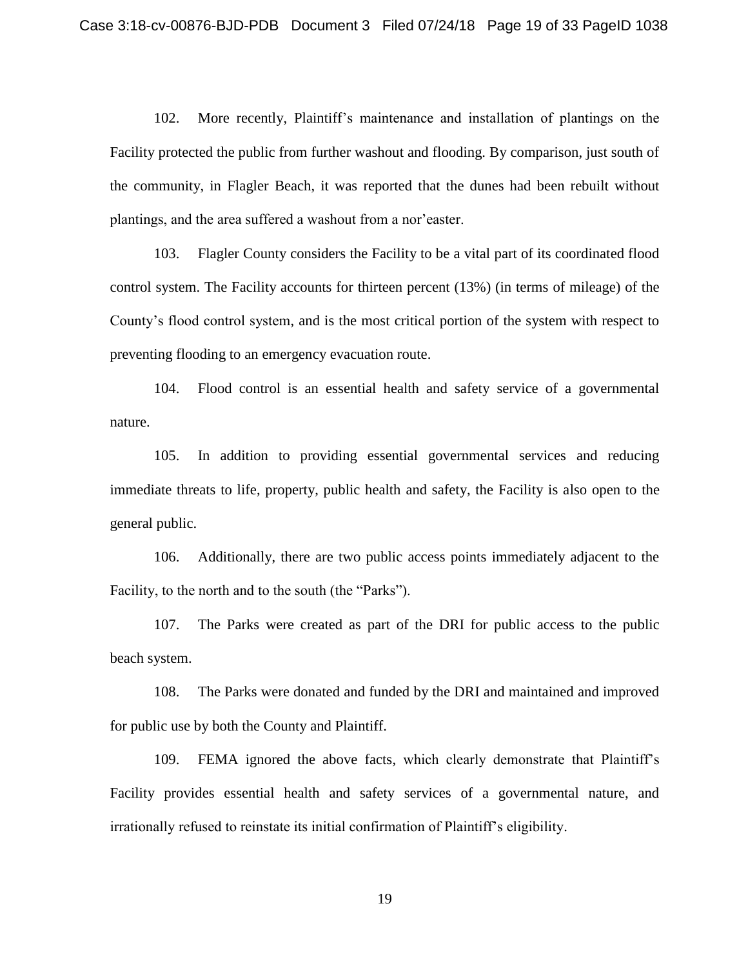102. More recently, Plaintiff's maintenance and installation of plantings on the Facility protected the public from further washout and flooding. By comparison, just south of the community, in Flagler Beach, it was reported that the dunes had been rebuilt without plantings, and the area suffered a washout from a nor'easter.

103. Flagler County considers the Facility to be a vital part of its coordinated flood control system. The Facility accounts for thirteen percent (13%) (in terms of mileage) of the County's flood control system, and is the most critical portion of the system with respect to preventing flooding to an emergency evacuation route.

104. Flood control is an essential health and safety service of a governmental nature.

105. In addition to providing essential governmental services and reducing immediate threats to life, property, public health and safety, the Facility is also open to the general public.

106. Additionally, there are two public access points immediately adjacent to the Facility, to the north and to the south (the "Parks").

107. The Parks were created as part of the DRI for public access to the public beach system.

108. The Parks were donated and funded by the DRI and maintained and improved for public use by both the County and Plaintiff.

109. FEMA ignored the above facts, which clearly demonstrate that Plaintiff's Facility provides essential health and safety services of a governmental nature, and irrationally refused to reinstate its initial confirmation of Plaintiff's eligibility.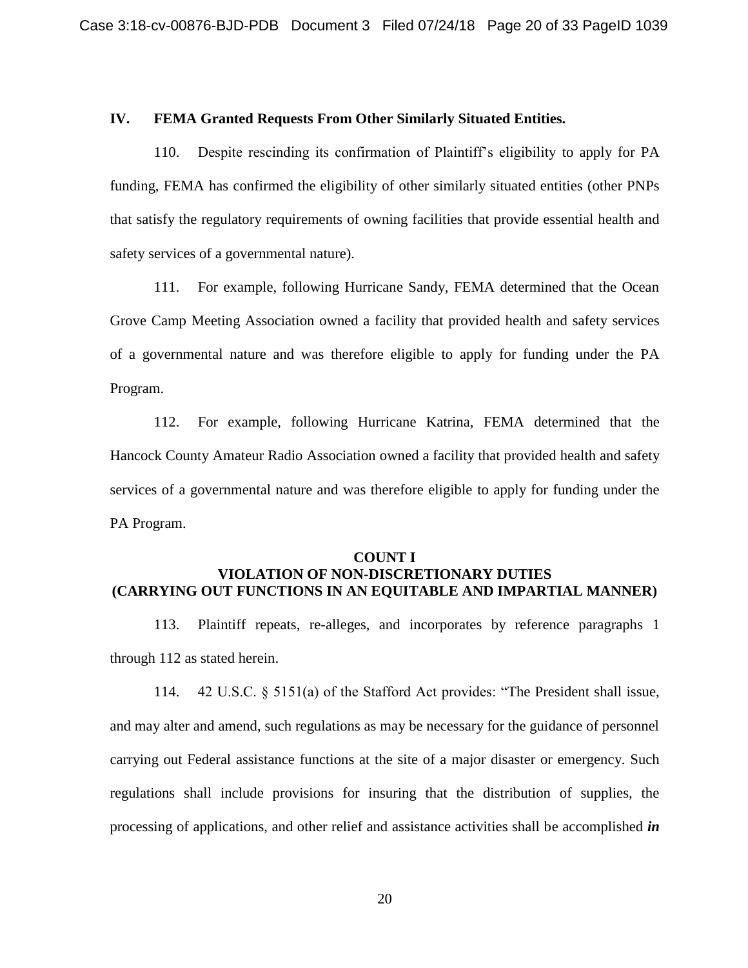### **IV. FEMA Granted Requests From Other Similarly Situated Entities.**

110. Despite rescinding its confirmation of Plaintiff's eligibility to apply for PA funding, FEMA has confirmed the eligibility of other similarly situated entities (other PNPs that satisfy the regulatory requirements of owning facilities that provide essential health and safety services of a governmental nature).

111. For example, following Hurricane Sandy, FEMA determined that the Ocean Grove Camp Meeting Association owned a facility that provided health and safety services of a governmental nature and was therefore eligible to apply for funding under the PA Program.

112. For example, following Hurricane Katrina, FEMA determined that the Hancock County Amateur Radio Association owned a facility that provided health and safety services of a governmental nature and was therefore eligible to apply for funding under the PA Program.

#### **COUNT I**

## **VIOLATION OF NON-DISCRETIONARY DUTIES (CARRYING OUT FUNCTIONS IN AN EQUITABLE AND IMPARTIAL MANNER)**

113. Plaintiff repeats, re-alleges, and incorporates by reference paragraphs 1 through 112 as stated herein.

114. 42 U.S.C. § 5151(a) of the Stafford Act provides: "The President shall issue, and may alter and amend, such regulations as may be necessary for the guidance of personnel carrying out Federal assistance functions at the site of a major disaster or emergency. Such regulations shall include provisions for insuring that the distribution of supplies, the processing of applications, and other relief and assistance activities shall be accomplished *in*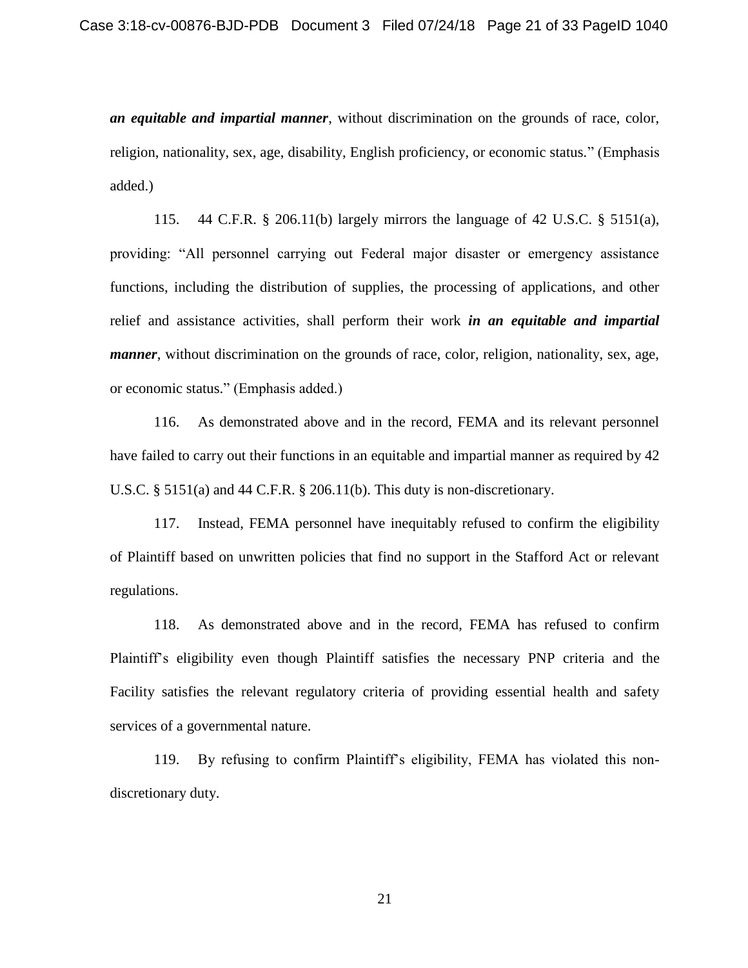*an equitable and impartial manner*, without discrimination on the grounds of race, color, religion, nationality, sex, age, disability, English proficiency, or economic status." (Emphasis added.)

115. 44 C.F.R. § 206.11(b) largely mirrors the language of 42 U.S.C. § 5151(a), providing: "All personnel carrying out Federal major disaster or emergency assistance functions, including the distribution of supplies, the processing of applications, and other relief and assistance activities, shall perform their work *in an equitable and impartial manner*, without discrimination on the grounds of race, color, religion, nationality, sex, age, or economic status." (Emphasis added.)

116. As demonstrated above and in the record, FEMA and its relevant personnel have failed to carry out their functions in an equitable and impartial manner as required by 42 U.S.C.  $\S$  5151(a) and 44 C.F.R.  $\S$  206.11(b). This duty is non-discretionary.

117. Instead, FEMA personnel have inequitably refused to confirm the eligibility of Plaintiff based on unwritten policies that find no support in the Stafford Act or relevant regulations.

118. As demonstrated above and in the record, FEMA has refused to confirm Plaintiff's eligibility even though Plaintiff satisfies the necessary PNP criteria and the Facility satisfies the relevant regulatory criteria of providing essential health and safety services of a governmental nature.

119. By refusing to confirm Plaintiff's eligibility, FEMA has violated this nondiscretionary duty.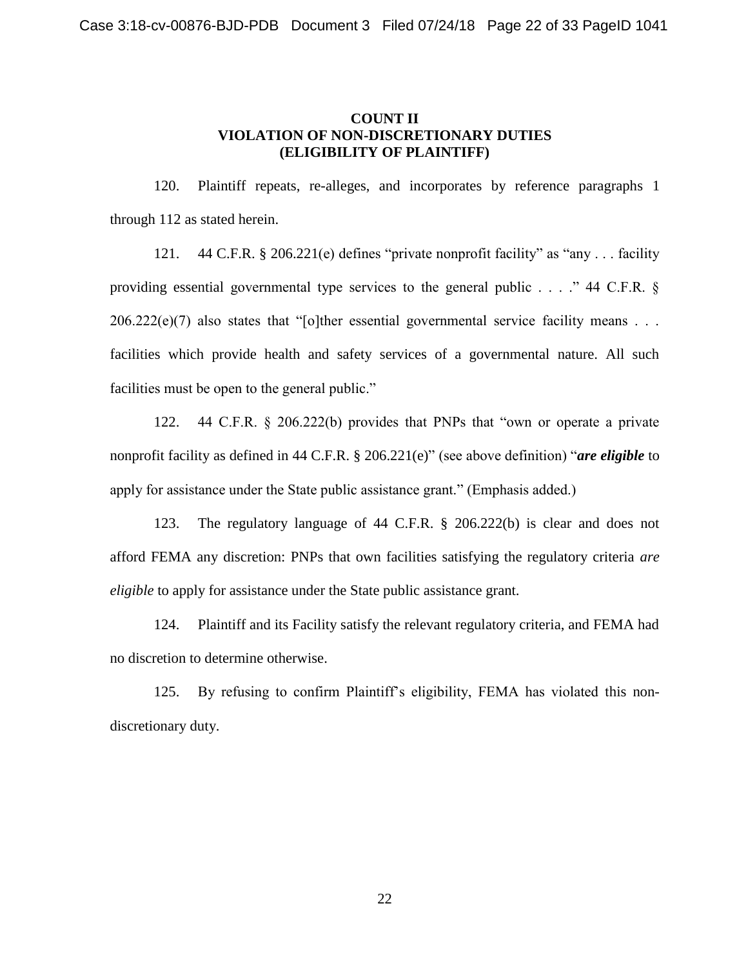### **COUNT II VIOLATION OF NON-DISCRETIONARY DUTIES (ELIGIBILITY OF PLAINTIFF)**

120. Plaintiff repeats, re-alleges, and incorporates by reference paragraphs 1 through 112 as stated herein.

121. 44 C.F.R. § 206.221(e) defines "private nonprofit facility" as "any . . . facility providing essential governmental type services to the general public . . . ." 44 C.F.R. §  $206.222(e)(7)$  also states that "[o]ther essential governmental service facility means . . . facilities which provide health and safety services of a governmental nature. All such facilities must be open to the general public."

122. 44 C.F.R. § 206.222(b) provides that PNPs that "own or operate a private nonprofit facility as defined in 44 C.F.R. § 206.221(e)" (see above definition) "*are eligible* to apply for assistance under the State public assistance grant." (Emphasis added.)

123. The regulatory language of 44 C.F.R. § 206.222(b) is clear and does not afford FEMA any discretion: PNPs that own facilities satisfying the regulatory criteria *are eligible* to apply for assistance under the State public assistance grant.

124. Plaintiff and its Facility satisfy the relevant regulatory criteria, and FEMA had no discretion to determine otherwise.

125. By refusing to confirm Plaintiff's eligibility, FEMA has violated this nondiscretionary duty.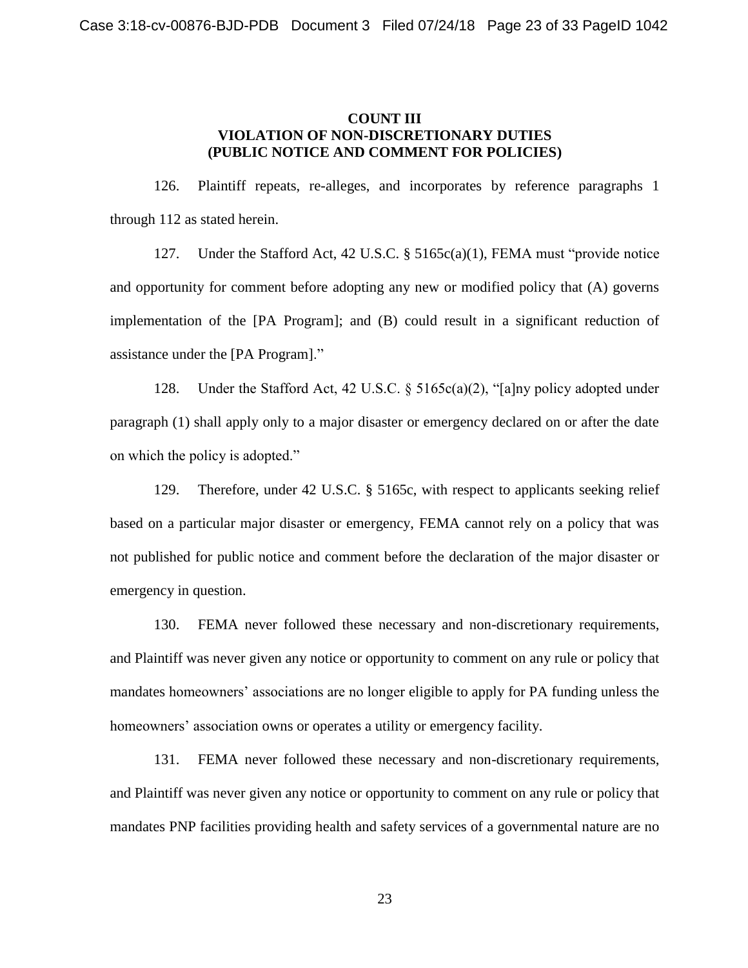### **COUNT III VIOLATION OF NON-DISCRETIONARY DUTIES (PUBLIC NOTICE AND COMMENT FOR POLICIES)**

126. Plaintiff repeats, re-alleges, and incorporates by reference paragraphs 1 through 112 as stated herein.

127. Under the Stafford Act, 42 U.S.C. § 5165c(a)(1), FEMA must "provide notice and opportunity for comment before adopting any new or modified policy that (A) governs implementation of the [PA Program]; and (B) could result in a significant reduction of assistance under the [PA Program]."

128. Under the Stafford Act, 42 U.S.C. § 5165c(a)(2), "[a]ny policy adopted under paragraph (1) shall apply only to a major disaster or emergency declared on or after the date on which the policy is adopted."

129. Therefore, under 42 U.S.C. § 5165c, with respect to applicants seeking relief based on a particular major disaster or emergency, FEMA cannot rely on a policy that was not published for public notice and comment before the declaration of the major disaster or emergency in question.

130. FEMA never followed these necessary and non-discretionary requirements, and Plaintiff was never given any notice or opportunity to comment on any rule or policy that mandates homeowners' associations are no longer eligible to apply for PA funding unless the homeowners' association owns or operates a utility or emergency facility.

131. FEMA never followed these necessary and non-discretionary requirements, and Plaintiff was never given any notice or opportunity to comment on any rule or policy that mandates PNP facilities providing health and safety services of a governmental nature are no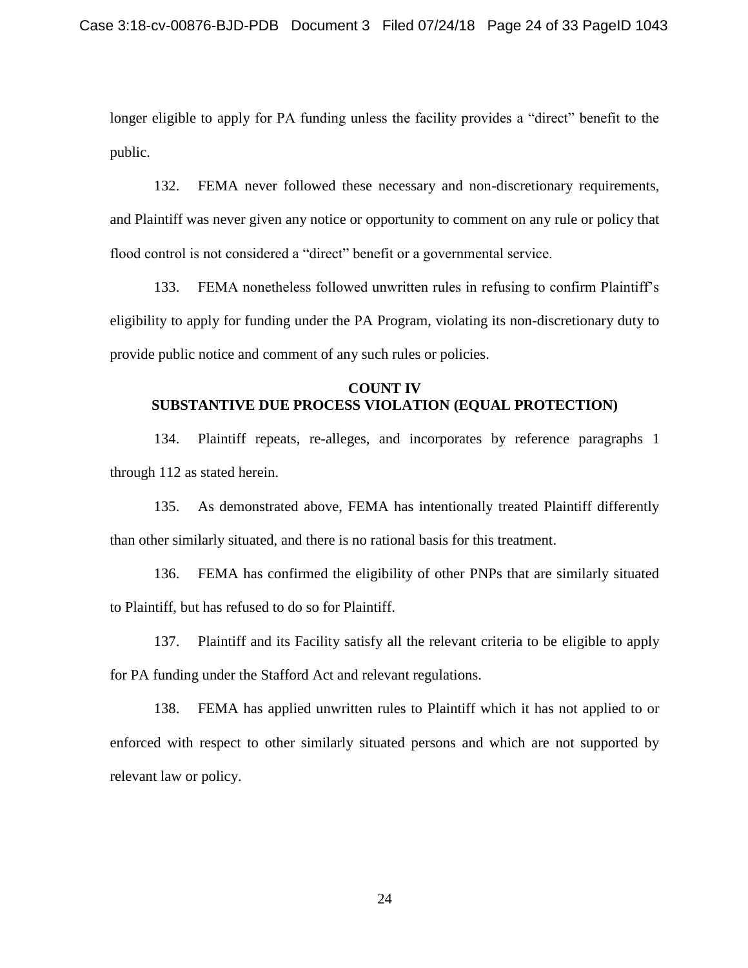longer eligible to apply for PA funding unless the facility provides a "direct" benefit to the public.

132. FEMA never followed these necessary and non-discretionary requirements, and Plaintiff was never given any notice or opportunity to comment on any rule or policy that flood control is not considered a "direct" benefit or a governmental service.

133. FEMA nonetheless followed unwritten rules in refusing to confirm Plaintiff's eligibility to apply for funding under the PA Program, violating its non-discretionary duty to provide public notice and comment of any such rules or policies.

## **COUNT IV SUBSTANTIVE DUE PROCESS VIOLATION (EQUAL PROTECTION)**

134. Plaintiff repeats, re-alleges, and incorporates by reference paragraphs 1 through 112 as stated herein.

135. As demonstrated above, FEMA has intentionally treated Plaintiff differently than other similarly situated, and there is no rational basis for this treatment.

136. FEMA has confirmed the eligibility of other PNPs that are similarly situated to Plaintiff, but has refused to do so for Plaintiff.

137. Plaintiff and its Facility satisfy all the relevant criteria to be eligible to apply for PA funding under the Stafford Act and relevant regulations.

138. FEMA has applied unwritten rules to Plaintiff which it has not applied to or enforced with respect to other similarly situated persons and which are not supported by relevant law or policy.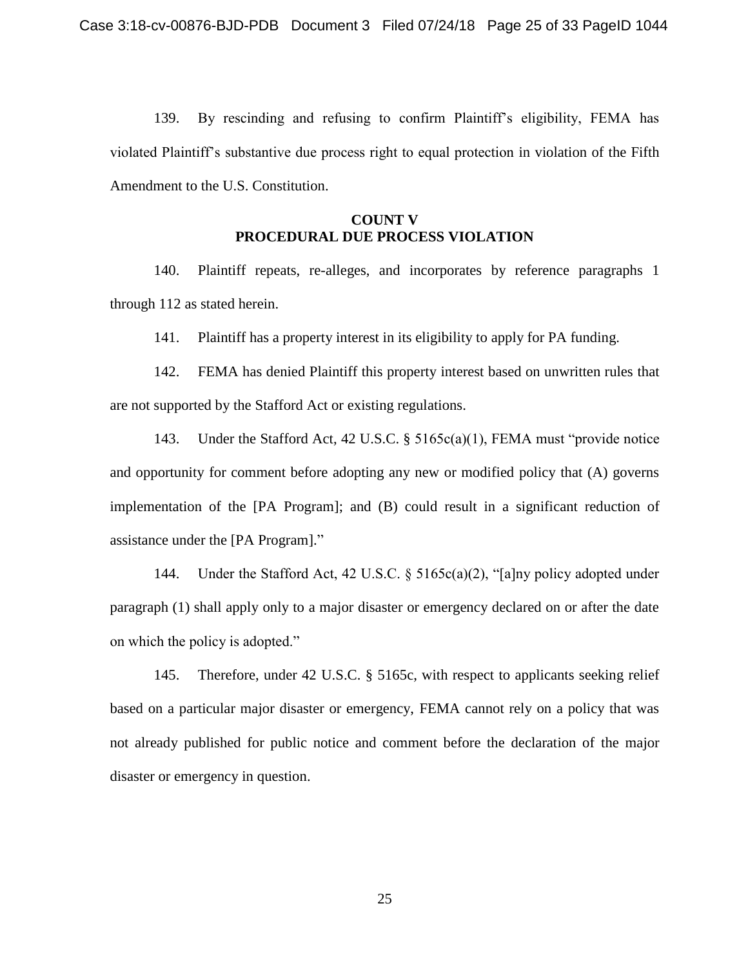139. By rescinding and refusing to confirm Plaintiff's eligibility, FEMA has violated Plaintiff's substantive due process right to equal protection in violation of the Fifth Amendment to the U.S. Constitution.

### **COUNT V PROCEDURAL DUE PROCESS VIOLATION**

140. Plaintiff repeats, re-alleges, and incorporates by reference paragraphs 1 through 112 as stated herein.

141. Plaintiff has a property interest in its eligibility to apply for PA funding.

142. FEMA has denied Plaintiff this property interest based on unwritten rules that are not supported by the Stafford Act or existing regulations.

143. Under the Stafford Act, 42 U.S.C. § 5165c(a)(1), FEMA must "provide notice and opportunity for comment before adopting any new or modified policy that (A) governs implementation of the [PA Program]; and (B) could result in a significant reduction of assistance under the [PA Program]."

144. Under the Stafford Act, 42 U.S.C. § 5165c(a)(2), "[a]ny policy adopted under paragraph (1) shall apply only to a major disaster or emergency declared on or after the date on which the policy is adopted."

145. Therefore, under 42 U.S.C. § 5165c, with respect to applicants seeking relief based on a particular major disaster or emergency, FEMA cannot rely on a policy that was not already published for public notice and comment before the declaration of the major disaster or emergency in question.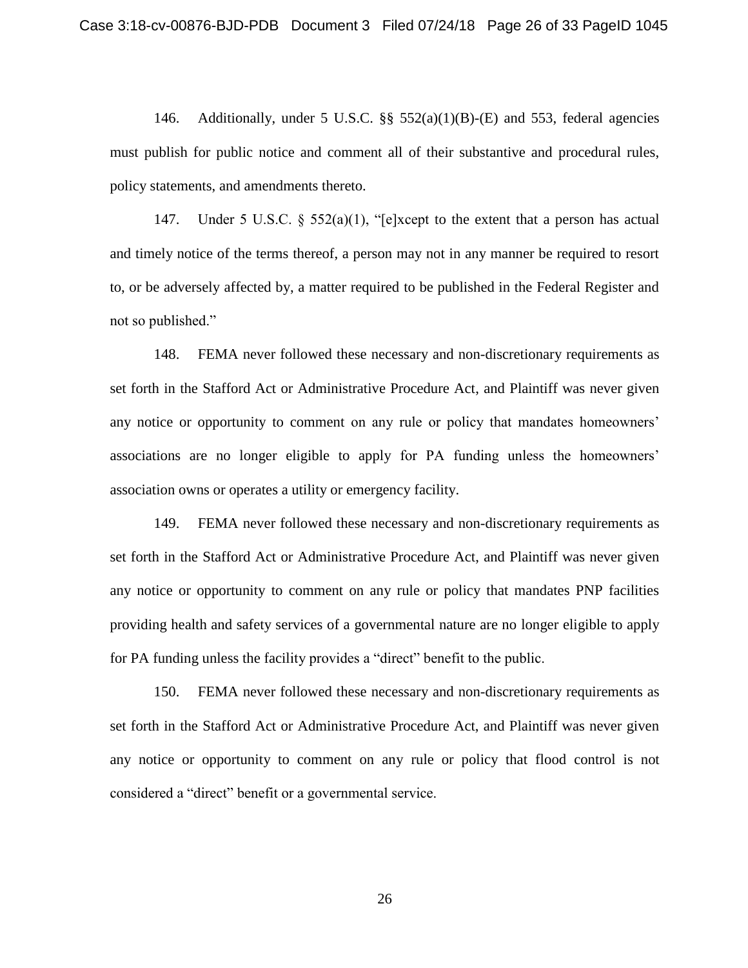146. Additionally, under 5 U.S.C. §§ 552(a)(1)(B)-(E) and 553, federal agencies must publish for public notice and comment all of their substantive and procedural rules, policy statements, and amendments thereto.

147. Under 5 U.S.C. § 552(a)(1), "[e]xcept to the extent that a person has actual and timely notice of the terms thereof, a person may not in any manner be required to resort to, or be adversely affected by, a matter required to be published in the Federal Register and not so published."

148. FEMA never followed these necessary and non-discretionary requirements as set forth in the Stafford Act or Administrative Procedure Act, and Plaintiff was never given any notice or opportunity to comment on any rule or policy that mandates homeowners' associations are no longer eligible to apply for PA funding unless the homeowners' association owns or operates a utility or emergency facility.

149. FEMA never followed these necessary and non-discretionary requirements as set forth in the Stafford Act or Administrative Procedure Act, and Plaintiff was never given any notice or opportunity to comment on any rule or policy that mandates PNP facilities providing health and safety services of a governmental nature are no longer eligible to apply for PA funding unless the facility provides a "direct" benefit to the public.

150. FEMA never followed these necessary and non-discretionary requirements as set forth in the Stafford Act or Administrative Procedure Act, and Plaintiff was never given any notice or opportunity to comment on any rule or policy that flood control is not considered a "direct" benefit or a governmental service.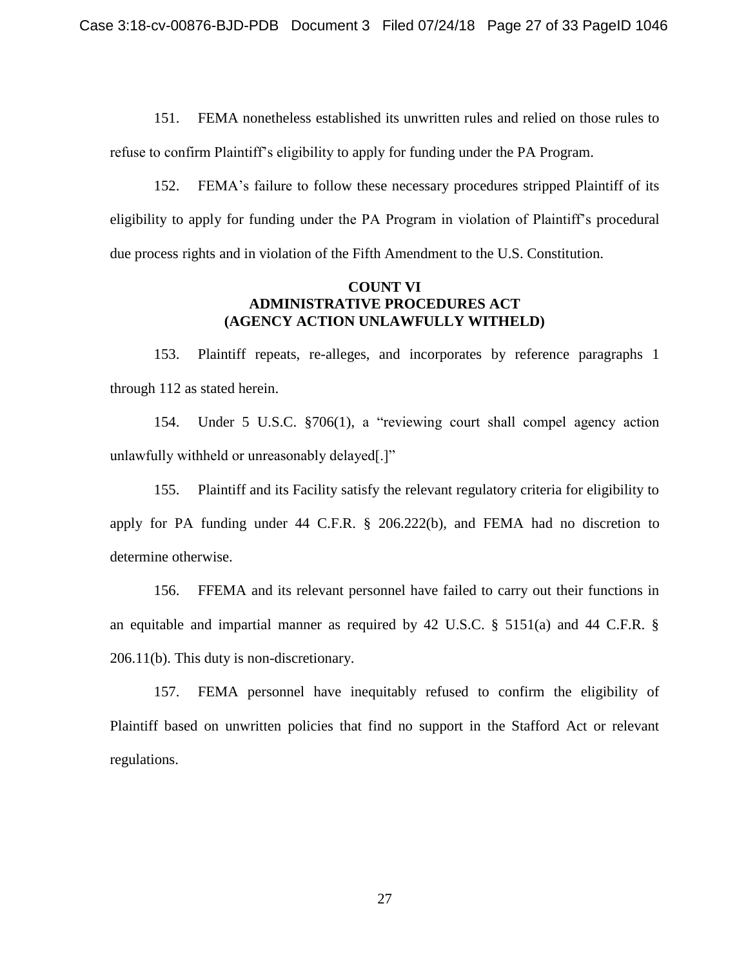151. FEMA nonetheless established its unwritten rules and relied on those rules to refuse to confirm Plaintiff's eligibility to apply for funding under the PA Program.

152. FEMA's failure to follow these necessary procedures stripped Plaintiff of its eligibility to apply for funding under the PA Program in violation of Plaintiff's procedural due process rights and in violation of the Fifth Amendment to the U.S. Constitution.

### **COUNT VI ADMINISTRATIVE PROCEDURES ACT (AGENCY ACTION UNLAWFULLY WITHELD)**

153. Plaintiff repeats, re-alleges, and incorporates by reference paragraphs 1 through 112 as stated herein.

154. Under 5 U.S.C. §706(1), a "reviewing court shall compel agency action unlawfully withheld or unreasonably delayed[.]"

155. Plaintiff and its Facility satisfy the relevant regulatory criteria for eligibility to apply for PA funding under 44 C.F.R. § 206.222(b), and FEMA had no discretion to determine otherwise.

156. FFEMA and its relevant personnel have failed to carry out their functions in an equitable and impartial manner as required by 42 U.S.C. § 5151(a) and 44 C.F.R. § 206.11(b). This duty is non-discretionary.

157. FEMA personnel have inequitably refused to confirm the eligibility of Plaintiff based on unwritten policies that find no support in the Stafford Act or relevant regulations.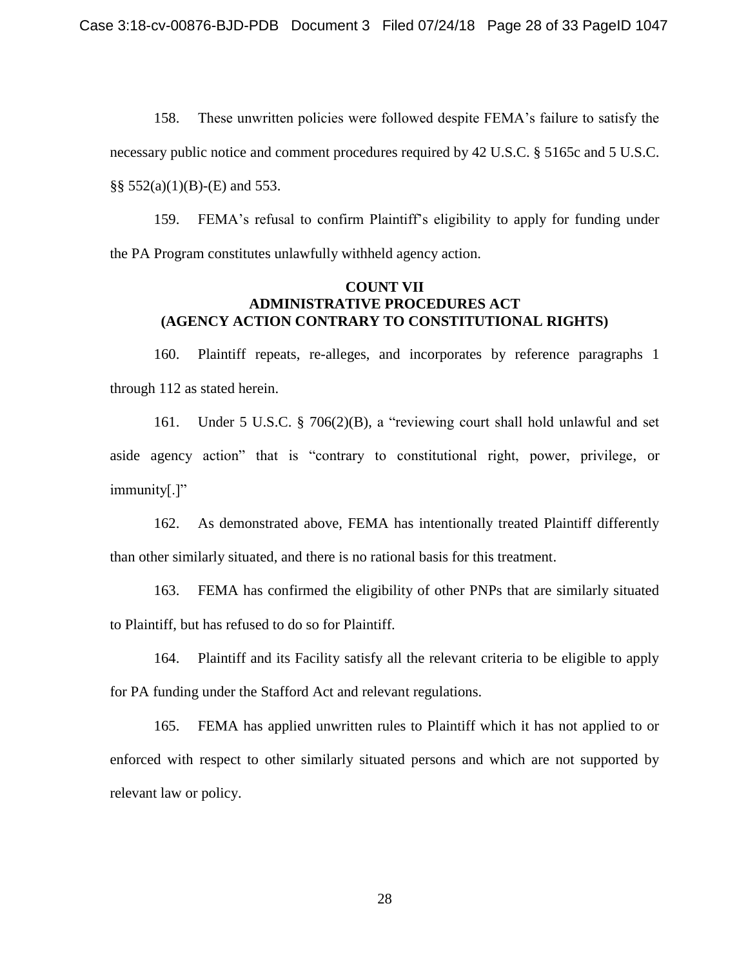158. These unwritten policies were followed despite FEMA's failure to satisfy the necessary public notice and comment procedures required by 42 U.S.C. § 5165c and 5 U.S.C.  $\S$ § 552(a)(1)(B)-(E) and 553.

159. FEMA's refusal to confirm Plaintiff's eligibility to apply for funding under the PA Program constitutes unlawfully withheld agency action.

## **COUNT VII ADMINISTRATIVE PROCEDURES ACT (AGENCY ACTION CONTRARY TO CONSTITUTIONAL RIGHTS)**

160. Plaintiff repeats, re-alleges, and incorporates by reference paragraphs 1 through 112 as stated herein.

161. Under 5 U.S.C. § 706(2)(B), a "reviewing court shall hold unlawful and set aside agency action" that is "contrary to constitutional right, power, privilege, or immunity[.]"

162. As demonstrated above, FEMA has intentionally treated Plaintiff differently than other similarly situated, and there is no rational basis for this treatment.

163. FEMA has confirmed the eligibility of other PNPs that are similarly situated to Plaintiff, but has refused to do so for Plaintiff.

164. Plaintiff and its Facility satisfy all the relevant criteria to be eligible to apply for PA funding under the Stafford Act and relevant regulations.

165. FEMA has applied unwritten rules to Plaintiff which it has not applied to or enforced with respect to other similarly situated persons and which are not supported by relevant law or policy.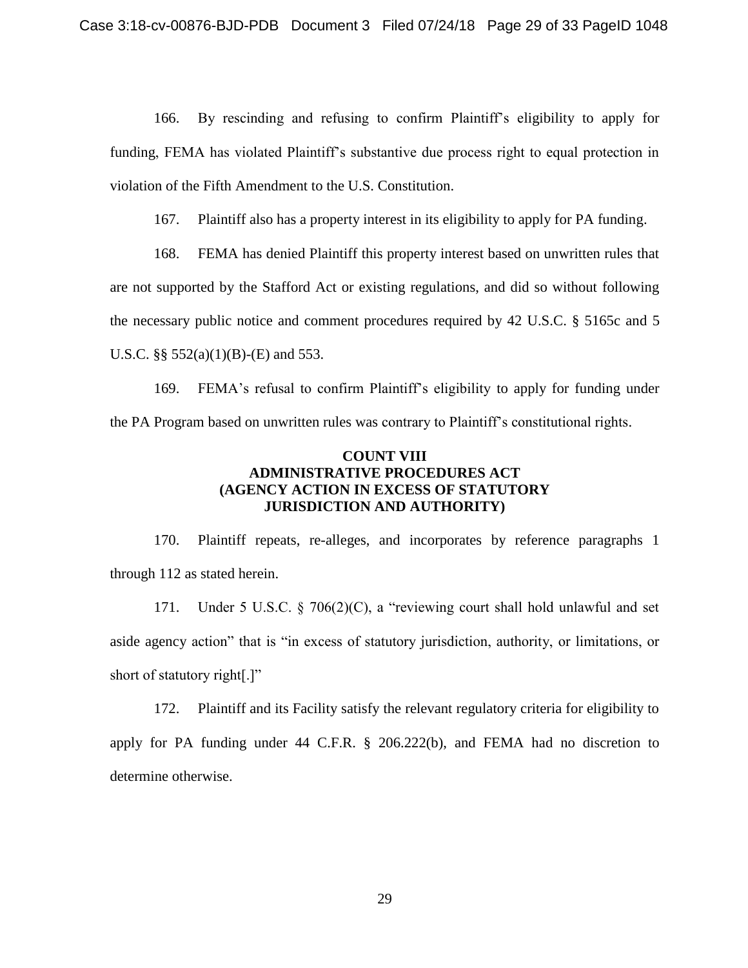166. By rescinding and refusing to confirm Plaintiff's eligibility to apply for funding, FEMA has violated Plaintiff's substantive due process right to equal protection in violation of the Fifth Amendment to the U.S. Constitution.

167. Plaintiff also has a property interest in its eligibility to apply for PA funding.

168. FEMA has denied Plaintiff this property interest based on unwritten rules that are not supported by the Stafford Act or existing regulations, and did so without following the necessary public notice and comment procedures required by 42 U.S.C. § 5165c and 5 U.S.C.  $\S\S 552(a)(1)(B)$ -(E) and 553.

169. FEMA's refusal to confirm Plaintiff's eligibility to apply for funding under the PA Program based on unwritten rules was contrary to Plaintiff's constitutional rights.

## **COUNT VIII ADMINISTRATIVE PROCEDURES ACT (AGENCY ACTION IN EXCESS OF STATUTORY JURISDICTION AND AUTHORITY)**

170. Plaintiff repeats, re-alleges, and incorporates by reference paragraphs 1 through 112 as stated herein.

171. Under 5 U.S.C. § 706(2)(C), a "reviewing court shall hold unlawful and set aside agency action" that is "in excess of statutory jurisdiction, authority, or limitations, or short of statutory right[.]"

172. Plaintiff and its Facility satisfy the relevant regulatory criteria for eligibility to apply for PA funding under 44 C.F.R. § 206.222(b), and FEMA had no discretion to determine otherwise.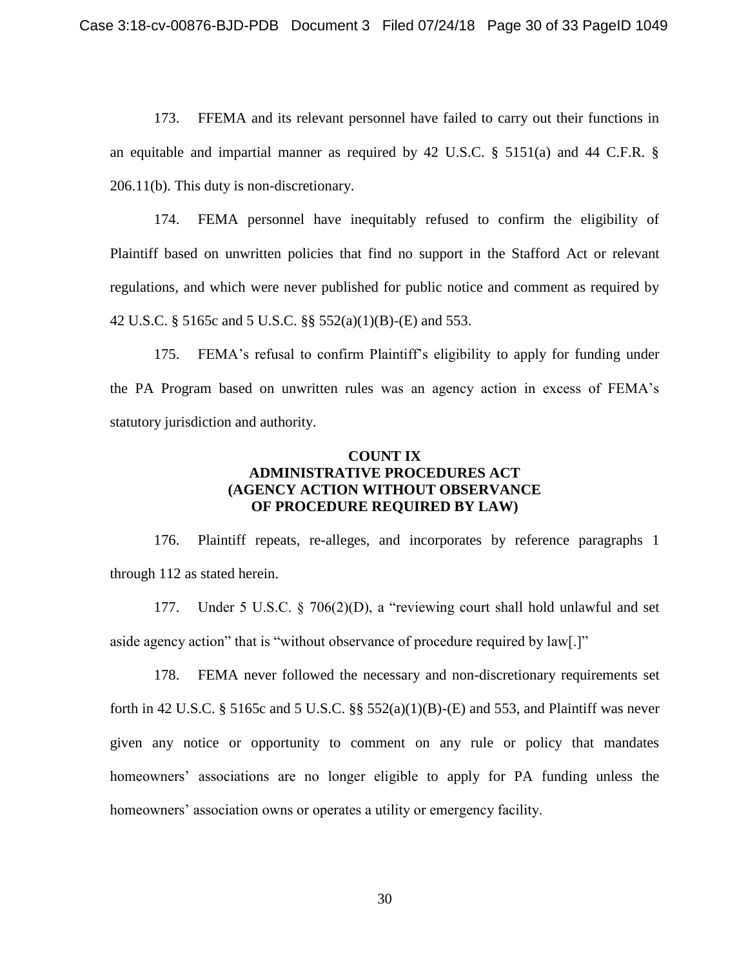173. FFEMA and its relevant personnel have failed to carry out their functions in an equitable and impartial manner as required by 42 U.S.C. § 5151(a) and 44 C.F.R. § 206.11(b). This duty is non-discretionary.

174. FEMA personnel have inequitably refused to confirm the eligibility of Plaintiff based on unwritten policies that find no support in the Stafford Act or relevant regulations, and which were never published for public notice and comment as required by 42 U.S.C. § 5165c and 5 U.S.C. §§ 552(a)(1)(B)-(E) and 553.

175. FEMA's refusal to confirm Plaintiff's eligibility to apply for funding under the PA Program based on unwritten rules was an agency action in excess of FEMA's statutory jurisdiction and authority.

## **COUNT IX ADMINISTRATIVE PROCEDURES ACT (AGENCY ACTION WITHOUT OBSERVANCE OF PROCEDURE REQUIRED BY LAW)**

176. Plaintiff repeats, re-alleges, and incorporates by reference paragraphs 1 through 112 as stated herein.

177. Under 5 U.S.C. § 706(2)(D), a "reviewing court shall hold unlawful and set aside agency action" that is "without observance of procedure required by law[.]"

178. FEMA never followed the necessary and non-discretionary requirements set forth in 42 U.S.C. § 5165c and 5 U.S.C. §§ 552(a)(1)(B)-(E) and 553, and Plaintiff was never given any notice or opportunity to comment on any rule or policy that mandates homeowners' associations are no longer eligible to apply for PA funding unless the homeowners' association owns or operates a utility or emergency facility.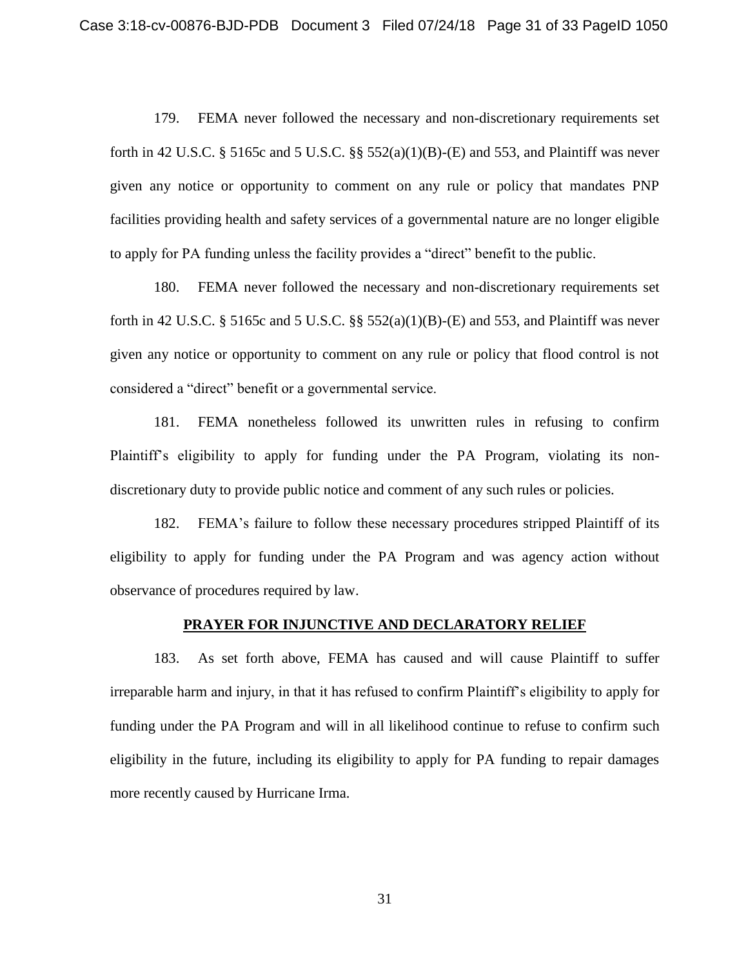179. FEMA never followed the necessary and non-discretionary requirements set forth in 42 U.S.C. § 5165c and 5 U.S.C. §§ 552(a)(1)(B)-(E) and 553, and Plaintiff was never given any notice or opportunity to comment on any rule or policy that mandates PNP facilities providing health and safety services of a governmental nature are no longer eligible to apply for PA funding unless the facility provides a "direct" benefit to the public.

180. FEMA never followed the necessary and non-discretionary requirements set forth in 42 U.S.C. § 5165c and 5 U.S.C. §§ 552(a)(1)(B)-(E) and 553, and Plaintiff was never given any notice or opportunity to comment on any rule or policy that flood control is not considered a "direct" benefit or a governmental service.

181. FEMA nonetheless followed its unwritten rules in refusing to confirm Plaintiff's eligibility to apply for funding under the PA Program, violating its nondiscretionary duty to provide public notice and comment of any such rules or policies.

182. FEMA's failure to follow these necessary procedures stripped Plaintiff of its eligibility to apply for funding under the PA Program and was agency action without observance of procedures required by law.

## **PRAYER FOR INJUNCTIVE AND DECLARATORY RELIEF**

183. As set forth above, FEMA has caused and will cause Plaintiff to suffer irreparable harm and injury, in that it has refused to confirm Plaintiff's eligibility to apply for funding under the PA Program and will in all likelihood continue to refuse to confirm such eligibility in the future, including its eligibility to apply for PA funding to repair damages more recently caused by Hurricane Irma.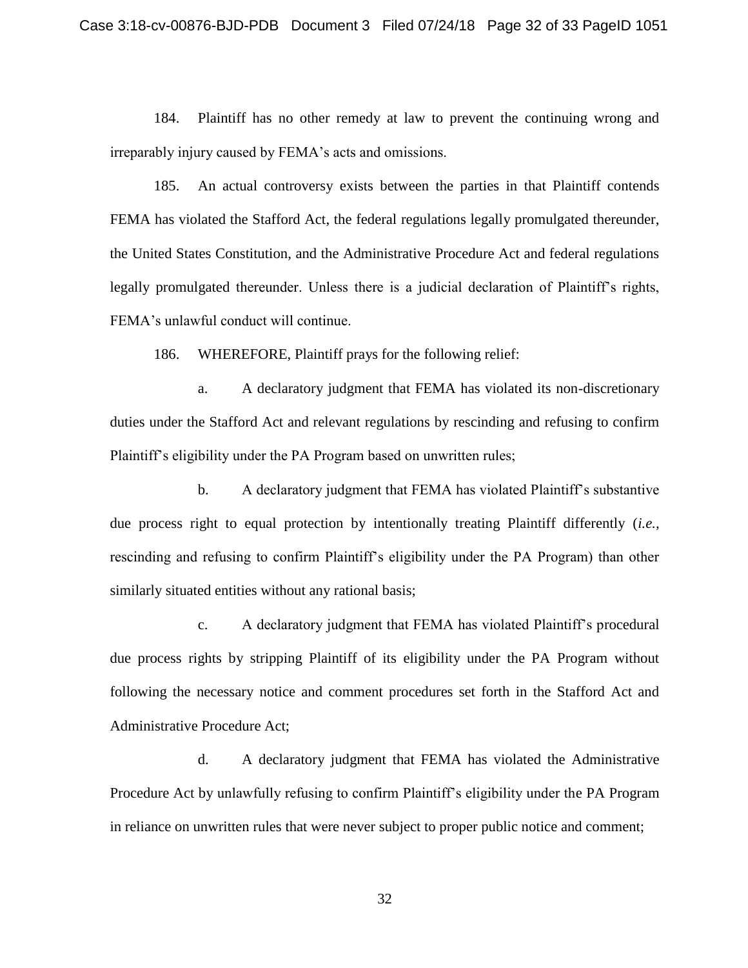184. Plaintiff has no other remedy at law to prevent the continuing wrong and irreparably injury caused by FEMA's acts and omissions.

185. An actual controversy exists between the parties in that Plaintiff contends FEMA has violated the Stafford Act, the federal regulations legally promulgated thereunder, the United States Constitution, and the Administrative Procedure Act and federal regulations legally promulgated thereunder. Unless there is a judicial declaration of Plaintiff's rights, FEMA's unlawful conduct will continue.

186. WHEREFORE, Plaintiff prays for the following relief:

a. A declaratory judgment that FEMA has violated its non-discretionary duties under the Stafford Act and relevant regulations by rescinding and refusing to confirm Plaintiff's eligibility under the PA Program based on unwritten rules;

b. A declaratory judgment that FEMA has violated Plaintiff's substantive due process right to equal protection by intentionally treating Plaintiff differently (*i.e.,*  rescinding and refusing to confirm Plaintiff's eligibility under the PA Program) than other similarly situated entities without any rational basis;

c. A declaratory judgment that FEMA has violated Plaintiff's procedural due process rights by stripping Plaintiff of its eligibility under the PA Program without following the necessary notice and comment procedures set forth in the Stafford Act and Administrative Procedure Act;

d. A declaratory judgment that FEMA has violated the Administrative Procedure Act by unlawfully refusing to confirm Plaintiff's eligibility under the PA Program in reliance on unwritten rules that were never subject to proper public notice and comment;